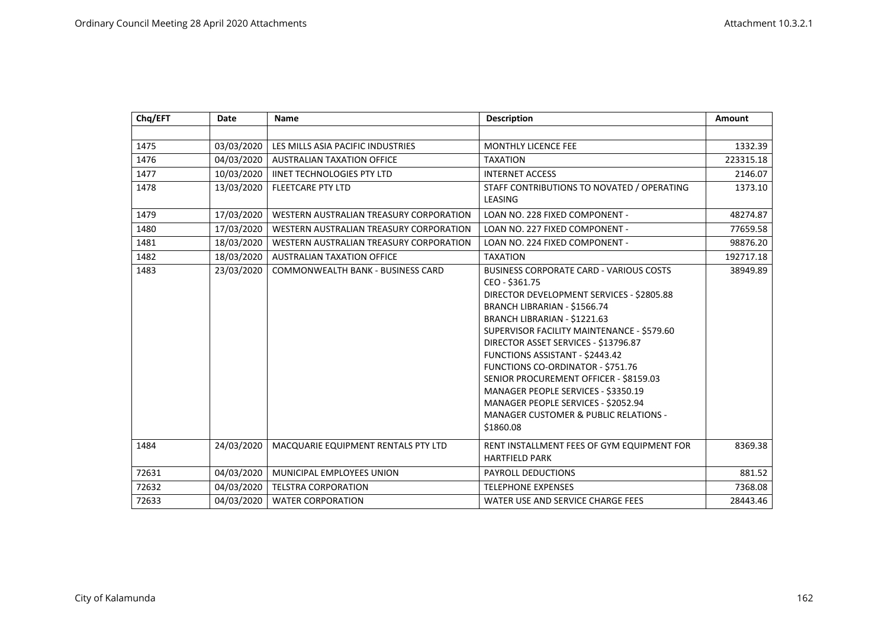| Chq/EFT | Date       | <b>Name</b>                             | <b>Description</b>                                                                                                                                                                                                                                                                                                                                                                                                                                                                                                                          | <b>Amount</b> |
|---------|------------|-----------------------------------------|---------------------------------------------------------------------------------------------------------------------------------------------------------------------------------------------------------------------------------------------------------------------------------------------------------------------------------------------------------------------------------------------------------------------------------------------------------------------------------------------------------------------------------------------|---------------|
|         |            |                                         |                                                                                                                                                                                                                                                                                                                                                                                                                                                                                                                                             |               |
| 1475    | 03/03/2020 | LES MILLS ASIA PACIFIC INDUSTRIES       | <b>MONTHLY LICENCE FEE</b>                                                                                                                                                                                                                                                                                                                                                                                                                                                                                                                  | 1332.39       |
| 1476    | 04/03/2020 | <b>AUSTRALIAN TAXATION OFFICE</b>       | <b>TAXATION</b>                                                                                                                                                                                                                                                                                                                                                                                                                                                                                                                             | 223315.18     |
| 1477    | 10/03/2020 | <b>IINET TECHNOLOGIES PTY LTD</b>       | <b>INTERNET ACCESS</b>                                                                                                                                                                                                                                                                                                                                                                                                                                                                                                                      | 2146.07       |
| 1478    | 13/03/2020 | <b>FLEETCARE PTY LTD</b>                | STAFF CONTRIBUTIONS TO NOVATED / OPERATING<br>LEASING                                                                                                                                                                                                                                                                                                                                                                                                                                                                                       | 1373.10       |
| 1479    | 17/03/2020 | WESTERN AUSTRALIAN TREASURY CORPORATION | LOAN NO. 228 FIXED COMPONENT -                                                                                                                                                                                                                                                                                                                                                                                                                                                                                                              | 48274.87      |
| 1480    | 17/03/2020 | WESTERN AUSTRALIAN TREASURY CORPORATION | LOAN NO. 227 FIXED COMPONENT -                                                                                                                                                                                                                                                                                                                                                                                                                                                                                                              | 77659.58      |
| 1481    | 18/03/2020 | WESTERN AUSTRALIAN TREASURY CORPORATION | LOAN NO. 224 FIXED COMPONENT -                                                                                                                                                                                                                                                                                                                                                                                                                                                                                                              | 98876.20      |
| 1482    | 18/03/2020 | <b>AUSTRALIAN TAXATION OFFICE</b>       | <b>TAXATION</b>                                                                                                                                                                                                                                                                                                                                                                                                                                                                                                                             | 192717.18     |
| 1483    | 23/03/2020 | COMMONWEALTH BANK - BUSINESS CARD       | <b>BUSINESS CORPORATE CARD - VARIOUS COSTS</b><br>CEO - \$361.75<br>DIRECTOR DEVELOPMENT SERVICES - \$2805.88<br>BRANCH LIBRARIAN - \$1566.74<br>BRANCH LIBRARIAN - \$1221.63<br>SUPERVISOR FACILITY MAINTENANCE - \$579.60<br>DIRECTOR ASSET SERVICES - \$13796.87<br>FUNCTIONS ASSISTANT - \$2443.42<br><b>FUNCTIONS CO-ORDINATOR - \$751.76</b><br>SENIOR PROCUREMENT OFFICER - \$8159.03<br>MANAGER PEOPLE SERVICES - \$3350.19<br>MANAGER PEOPLE SERVICES - \$2052.94<br><b>MANAGER CUSTOMER &amp; PUBLIC RELATIONS -</b><br>\$1860.08 | 38949.89      |
| 1484    | 24/03/2020 | MACQUARIE EQUIPMENT RENTALS PTY LTD     | RENT INSTALLMENT FEES OF GYM EQUIPMENT FOR<br><b>HARTFIELD PARK</b>                                                                                                                                                                                                                                                                                                                                                                                                                                                                         | 8369.38       |
| 72631   | 04/03/2020 | MUNICIPAL EMPLOYEES UNION               | <b>PAYROLL DEDUCTIONS</b>                                                                                                                                                                                                                                                                                                                                                                                                                                                                                                                   | 881.52        |
| 72632   | 04/03/2020 | <b>TELSTRA CORPORATION</b>              | <b>TELEPHONE EXPENSES</b>                                                                                                                                                                                                                                                                                                                                                                                                                                                                                                                   | 7368.08       |
| 72633   | 04/03/2020 | <b>WATER CORPORATION</b>                | WATER USE AND SERVICE CHARGE FEES                                                                                                                                                                                                                                                                                                                                                                                                                                                                                                           | 28443.46      |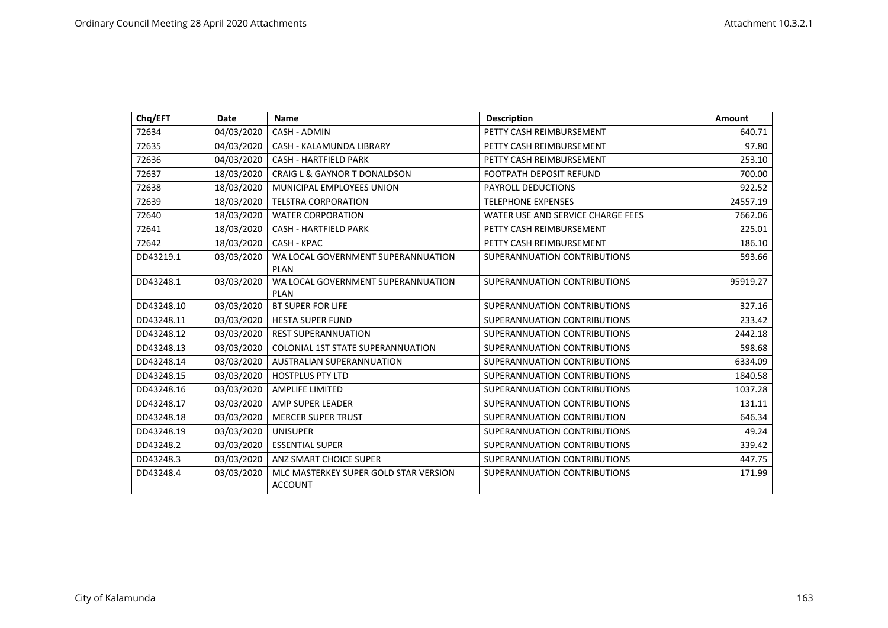| Chq/EFT    | <b>Date</b> | <b>Name</b>                                             | <b>Description</b>                | Amount   |
|------------|-------------|---------------------------------------------------------|-----------------------------------|----------|
| 72634      | 04/03/2020  | CASH - ADMIN                                            | PETTY CASH REIMBURSEMENT          | 640.71   |
| 72635      | 04/03/2020  | CASH - KALAMUNDA LIBRARY                                | PETTY CASH REIMBURSEMENT          | 97.80    |
| 72636      | 04/03/2020  | <b>CASH - HARTFIELD PARK</b>                            | PETTY CASH REIMBURSEMENT          | 253.10   |
| 72637      | 18/03/2020  | <b>CRAIG L &amp; GAYNOR T DONALDSON</b>                 | <b>FOOTPATH DEPOSIT REFUND</b>    | 700.00   |
| 72638      | 18/03/2020  | MUNICIPAL EMPLOYEES UNION                               | <b>PAYROLL DEDUCTIONS</b>         | 922.52   |
| 72639      | 18/03/2020  | <b>TELSTRA CORPORATION</b>                              | <b>TELEPHONE EXPENSES</b>         | 24557.19 |
| 72640      | 18/03/2020  | <b>WATER CORPORATION</b>                                | WATER USE AND SERVICE CHARGE FEES | 7662.06  |
| 72641      | 18/03/2020  | <b>CASH - HARTFIELD PARK</b>                            | PETTY CASH REIMBURSEMENT          | 225.01   |
| 72642      | 18/03/2020  | CASH - KPAC                                             | PETTY CASH REIMBURSEMENT          | 186.10   |
| DD43219.1  | 03/03/2020  | WA LOCAL GOVERNMENT SUPERANNUATION<br><b>PLAN</b>       | SUPERANNUATION CONTRIBUTIONS      | 593.66   |
| DD43248.1  | 03/03/2020  | WA LOCAL GOVERNMENT SUPERANNUATION<br><b>PLAN</b>       | SUPERANNUATION CONTRIBUTIONS      | 95919.27 |
| DD43248.10 | 03/03/2020  | <b>BT SUPER FOR LIFE</b>                                | SUPERANNUATION CONTRIBUTIONS      | 327.16   |
| DD43248.11 | 03/03/2020  | <b>HESTA SUPER FUND</b>                                 | SUPERANNUATION CONTRIBUTIONS      | 233.42   |
| DD43248.12 | 03/03/2020  | <b>REST SUPERANNUATION</b>                              | SUPERANNUATION CONTRIBUTIONS      | 2442.18  |
| DD43248.13 | 03/03/2020  | <b>COLONIAL 1ST STATE SUPERANNUATION</b>                | SUPERANNUATION CONTRIBUTIONS      | 598.68   |
| DD43248.14 | 03/03/2020  | <b>AUSTRALIAN SUPERANNUATION</b>                        | SUPERANNUATION CONTRIBUTIONS      | 6334.09  |
| DD43248.15 | 03/03/2020  | <b>HOSTPLUS PTY LTD</b>                                 | SUPERANNUATION CONTRIBUTIONS      | 1840.58  |
| DD43248.16 | 03/03/2020  | <b>AMPLIFE LIMITED</b>                                  | SUPERANNUATION CONTRIBUTIONS      | 1037.28  |
| DD43248.17 | 03/03/2020  | AMP SUPER LEADER                                        | SUPERANNUATION CONTRIBUTIONS      | 131.11   |
| DD43248.18 | 03/03/2020  | <b>MERCER SUPER TRUST</b>                               | SUPERANNUATION CONTRIBUTION       | 646.34   |
| DD43248.19 | 03/03/2020  | <b>UNISUPER</b>                                         | SUPERANNUATION CONTRIBUTIONS      | 49.24    |
| DD43248.2  | 03/03/2020  | <b>ESSENTIAL SUPER</b>                                  | SUPERANNUATION CONTRIBUTIONS      | 339.42   |
| DD43248.3  | 03/03/2020  | ANZ SMART CHOICE SUPER                                  | SUPERANNUATION CONTRIBUTIONS      | 447.75   |
| DD43248.4  | 03/03/2020  | MLC MASTERKEY SUPER GOLD STAR VERSION<br><b>ACCOUNT</b> | SUPERANNUATION CONTRIBUTIONS      | 171.99   |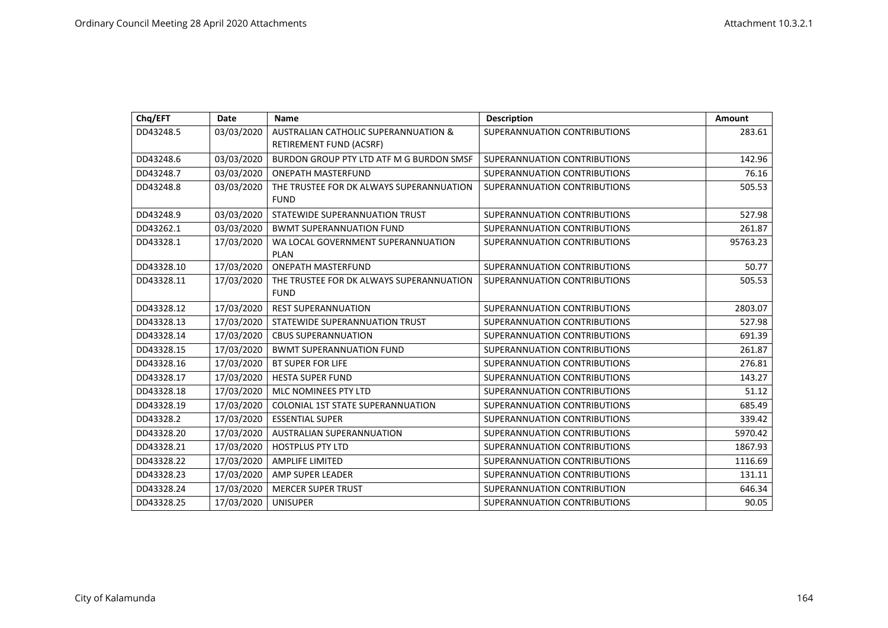| Chq/EFT    | <b>Date</b> | <b>Name</b>                                                                       | <b>Description</b>           | Amount   |
|------------|-------------|-----------------------------------------------------------------------------------|------------------------------|----------|
| DD43248.5  | 03/03/2020  | <b>AUSTRALIAN CATHOLIC SUPERANNUATION &amp;</b><br><b>RETIREMENT FUND (ACSRF)</b> | SUPERANNUATION CONTRIBUTIONS | 283.61   |
| DD43248.6  | 03/03/2020  | BURDON GROUP PTY LTD ATF M G BURDON SMSF                                          | SUPERANNUATION CONTRIBUTIONS | 142.96   |
| DD43248.7  | 03/03/2020  | <b>ONEPATH MASTERFUND</b>                                                         | SUPERANNUATION CONTRIBUTIONS | 76.16    |
| DD43248.8  | 03/03/2020  | THE TRUSTEE FOR DK ALWAYS SUPERANNUATION<br><b>FUND</b>                           | SUPERANNUATION CONTRIBUTIONS | 505.53   |
| DD43248.9  | 03/03/2020  | STATEWIDE SUPERANNUATION TRUST                                                    | SUPERANNUATION CONTRIBUTIONS | 527.98   |
| DD43262.1  | 03/03/2020  | <b>BWMT SUPERANNUATION FUND</b>                                                   | SUPERANNUATION CONTRIBUTIONS | 261.87   |
| DD43328.1  | 17/03/2020  | WA LOCAL GOVERNMENT SUPERANNUATION<br>PLAN                                        | SUPERANNUATION CONTRIBUTIONS | 95763.23 |
| DD43328.10 | 17/03/2020  | <b>ONEPATH MASTERFUND</b>                                                         | SUPERANNUATION CONTRIBUTIONS | 50.77    |
| DD43328.11 | 17/03/2020  | THE TRUSTEE FOR DK ALWAYS SUPERANNUATION<br><b>FUND</b>                           | SUPERANNUATION CONTRIBUTIONS | 505.53   |
| DD43328.12 | 17/03/2020  | <b>REST SUPERANNUATION</b>                                                        | SUPERANNUATION CONTRIBUTIONS | 2803.07  |
| DD43328.13 | 17/03/2020  | STATEWIDE SUPERANNUATION TRUST                                                    | SUPERANNUATION CONTRIBUTIONS | 527.98   |
| DD43328.14 | 17/03/2020  | <b>CBUS SUPERANNUATION</b>                                                        | SUPERANNUATION CONTRIBUTIONS | 691.39   |
| DD43328.15 | 17/03/2020  | <b>BWMT SUPERANNUATION FUND</b>                                                   | SUPERANNUATION CONTRIBUTIONS | 261.87   |
| DD43328.16 | 17/03/2020  | <b>BT SUPER FOR LIFE</b>                                                          | SUPERANNUATION CONTRIBUTIONS | 276.81   |
| DD43328.17 | 17/03/2020  | <b>HESTA SUPER FUND</b>                                                           | SUPERANNUATION CONTRIBUTIONS | 143.27   |
| DD43328.18 | 17/03/2020  | MLC NOMINEES PTY LTD                                                              | SUPERANNUATION CONTRIBUTIONS | 51.12    |
| DD43328.19 | 17/03/2020  | <b>COLONIAL 1ST STATE SUPERANNUATION</b>                                          | SUPERANNUATION CONTRIBUTIONS | 685.49   |
| DD43328.2  | 17/03/2020  | <b>ESSENTIAL SUPER</b>                                                            | SUPERANNUATION CONTRIBUTIONS | 339.42   |
| DD43328.20 | 17/03/2020  | <b>AUSTRALIAN SUPERANNUATION</b>                                                  | SUPERANNUATION CONTRIBUTIONS | 5970.42  |
| DD43328.21 | 17/03/2020  | <b>HOSTPLUS PTY LTD</b>                                                           | SUPERANNUATION CONTRIBUTIONS | 1867.93  |
| DD43328.22 | 17/03/2020  | <b>AMPLIFE LIMITED</b>                                                            | SUPERANNUATION CONTRIBUTIONS | 1116.69  |
| DD43328.23 | 17/03/2020  | AMP SUPER LEADER                                                                  | SUPERANNUATION CONTRIBUTIONS | 131.11   |
| DD43328.24 | 17/03/2020  | <b>MERCER SUPER TRUST</b>                                                         | SUPERANNUATION CONTRIBUTION  | 646.34   |
| DD43328.25 | 17/03/2020  | <b>UNISUPER</b>                                                                   | SUPERANNUATION CONTRIBUTIONS | 90.05    |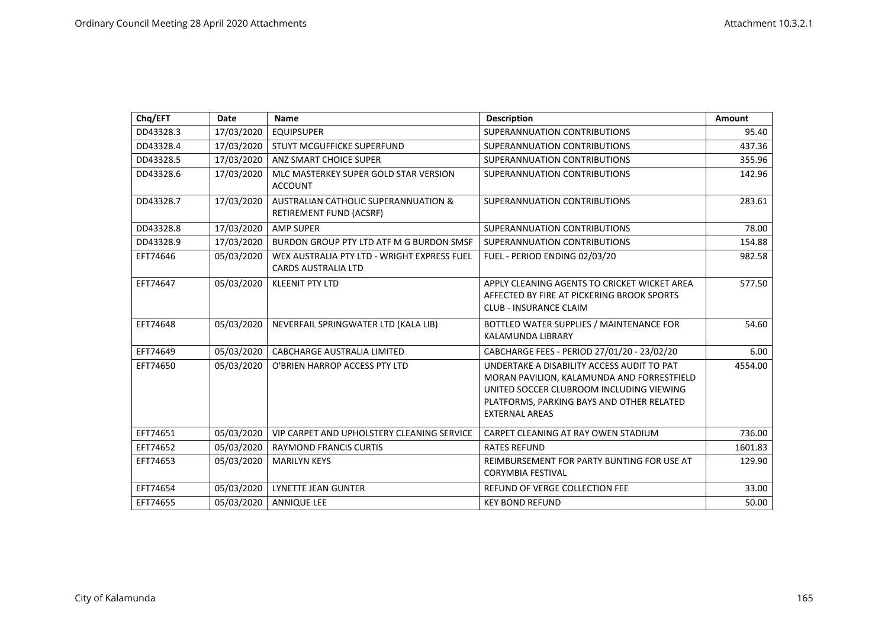| Chq/EFT   | Date       | <b>Name</b>                                                               | <b>Description</b>                                                                                                                                                                                         | <b>Amount</b> |
|-----------|------------|---------------------------------------------------------------------------|------------------------------------------------------------------------------------------------------------------------------------------------------------------------------------------------------------|---------------|
| DD43328.3 | 17/03/2020 | <b>EQUIPSUPER</b>                                                         | SUPERANNUATION CONTRIBUTIONS                                                                                                                                                                               | 95.40         |
| DD43328.4 | 17/03/2020 | STUYT MCGUFFICKE SUPERFUND                                                | SUPERANNUATION CONTRIBUTIONS                                                                                                                                                                               | 437.36        |
| DD43328.5 | 17/03/2020 | ANZ SMART CHOICE SUPER                                                    | SUPERANNUATION CONTRIBUTIONS                                                                                                                                                                               | 355.96        |
| DD43328.6 | 17/03/2020 | MLC MASTERKEY SUPER GOLD STAR VERSION<br><b>ACCOUNT</b>                   | SUPERANNUATION CONTRIBUTIONS                                                                                                                                                                               | 142.96        |
| DD43328.7 | 17/03/2020 | AUSTRALIAN CATHOLIC SUPERANNUATION &<br>RETIREMENT FUND (ACSRF)           | SUPERANNUATION CONTRIBUTIONS                                                                                                                                                                               | 283.61        |
| DD43328.8 | 17/03/2020 | <b>AMP SUPER</b>                                                          | SUPERANNUATION CONTRIBUTIONS                                                                                                                                                                               | 78.00         |
| DD43328.9 | 17/03/2020 | BURDON GROUP PTY LTD ATF M G BURDON SMSF                                  | SUPERANNUATION CONTRIBUTIONS                                                                                                                                                                               | 154.88        |
| EFT74646  | 05/03/2020 | WEX AUSTRALIA PTY LTD - WRIGHT EXPRESS FUEL<br><b>CARDS AUSTRALIA LTD</b> | FUEL - PERIOD ENDING 02/03/20                                                                                                                                                                              | 982.58        |
| EFT74647  | 05/03/2020 | <b>KLEENIT PTY LTD</b>                                                    | APPLY CLEANING AGENTS TO CRICKET WICKET AREA<br>AFFECTED BY FIRE AT PICKERING BROOK SPORTS<br><b>CLUB - INSURANCE CLAIM</b>                                                                                | 577.50        |
| EFT74648  | 05/03/2020 | NEVERFAIL SPRINGWATER LTD (KALA LIB)                                      | BOTTLED WATER SUPPLIES / MAINTENANCE FOR<br><b>KALAMUNDA LIBRARY</b>                                                                                                                                       | 54.60         |
| EFT74649  | 05/03/2020 | <b>CABCHARGE AUSTRALIA LIMITED</b>                                        | CABCHARGE FEES - PERIOD 27/01/20 - 23/02/20                                                                                                                                                                | 6.00          |
| EFT74650  | 05/03/2020 | O'BRIEN HARROP ACCESS PTY LTD                                             | UNDERTAKE A DISABILITY ACCESS AUDIT TO PAT<br>MORAN PAVILION, KALAMUNDA AND FORRESTFIELD<br>UNITED SOCCER CLUBROOM INCLUDING VIEWING<br>PLATFORMS, PARKING BAYS AND OTHER RELATED<br><b>EXTERNAL AREAS</b> | 4554.00       |
| EFT74651  | 05/03/2020 | VIP CARPET AND UPHOLSTERY CLEANING SERVICE                                | CARPET CLEANING AT RAY OWEN STADIUM                                                                                                                                                                        | 736.00        |
| EFT74652  | 05/03/2020 | <b>RAYMOND FRANCIS CURTIS</b>                                             | <b>RATES REFUND</b>                                                                                                                                                                                        | 1601.83       |
| EFT74653  | 05/03/2020 | <b>MARILYN KEYS</b>                                                       | REIMBURSEMENT FOR PARTY BUNTING FOR USE AT<br><b>CORYMBIA FESTIVAL</b>                                                                                                                                     | 129.90        |
| EFT74654  | 05/03/2020 | <b>LYNETTE JEAN GUNTER</b>                                                | REFUND OF VERGE COLLECTION FEE                                                                                                                                                                             | 33.00         |
| EFT74655  | 05/03/2020 | <b>ANNIQUE LEE</b>                                                        | <b>KEY BOND REFUND</b>                                                                                                                                                                                     | 50.00         |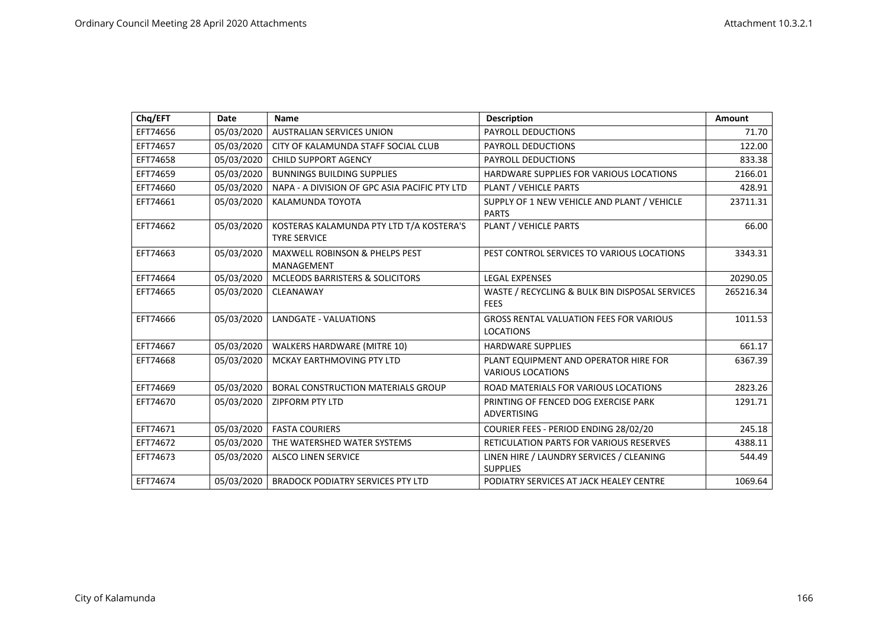| Chq/EFT  | <b>Date</b> | <b>Name</b>                                                     | <b>Description</b>                                                 | <b>Amount</b> |
|----------|-------------|-----------------------------------------------------------------|--------------------------------------------------------------------|---------------|
| EFT74656 | 05/03/2020  | <b>AUSTRALIAN SERVICES UNION</b>                                | PAYROLL DEDUCTIONS                                                 | 71.70         |
| EFT74657 | 05/03/2020  | CITY OF KALAMUNDA STAFF SOCIAL CLUB                             | <b>PAYROLL DEDUCTIONS</b>                                          | 122.00        |
| EFT74658 | 05/03/2020  | <b>CHILD SUPPORT AGENCY</b>                                     | PAYROLL DEDUCTIONS                                                 | 833.38        |
| EFT74659 | 05/03/2020  | <b>BUNNINGS BUILDING SUPPLIES</b>                               | HARDWARE SUPPLIES FOR VARIOUS LOCATIONS                            | 2166.01       |
| EFT74660 | 05/03/2020  | NAPA - A DIVISION OF GPC ASIA PACIFIC PTY LTD                   | PLANT / VEHICLE PARTS                                              | 428.91        |
| EFT74661 | 05/03/2020  | KALAMUNDA TOYOTA                                                | SUPPLY OF 1 NEW VEHICLE AND PLANT / VEHICLE<br><b>PARTS</b>        | 23711.31      |
| EFT74662 | 05/03/2020  | KOSTERAS KALAMUNDA PTY LTD T/A KOSTERA'S<br><b>TYRE SERVICE</b> | PLANT / VEHICLE PARTS                                              | 66.00         |
| EFT74663 | 05/03/2020  | <b>MAXWELL ROBINSON &amp; PHELPS PEST</b><br>MANAGEMENT         | PEST CONTROL SERVICES TO VARIOUS LOCATIONS                         | 3343.31       |
| EFT74664 | 05/03/2020  | MCLEODS BARRISTERS & SOLICITORS                                 | <b>LEGAL EXPENSES</b>                                              | 20290.05      |
| EFT74665 | 05/03/2020  | CLEANAWAY                                                       | WASTE / RECYCLING & BULK BIN DISPOSAL SERVICES<br><b>FEES</b>      | 265216.34     |
| EFT74666 | 05/03/2020  | <b>LANDGATE - VALUATIONS</b>                                    | <b>GROSS RENTAL VALUATION FEES FOR VARIOUS</b><br><b>LOCATIONS</b> | 1011.53       |
| EFT74667 | 05/03/2020  | WALKERS HARDWARE (MITRE 10)                                     | <b>HARDWARE SUPPLIES</b>                                           | 661.17        |
| EFT74668 | 05/03/2020  | MCKAY EARTHMOVING PTY LTD                                       | PLANT EQUIPMENT AND OPERATOR HIRE FOR<br><b>VARIOUS LOCATIONS</b>  | 6367.39       |
| EFT74669 | 05/03/2020  | <b>BORAL CONSTRUCTION MATERIALS GROUP</b>                       | ROAD MATERIALS FOR VARIOUS LOCATIONS                               | 2823.26       |
| EFT74670 | 05/03/2020  | <b>ZIPFORM PTY LTD</b>                                          | PRINTING OF FENCED DOG EXERCISE PARK<br><b>ADVERTISING</b>         | 1291.71       |
| EFT74671 |             | 05/03/2020   FASTA COURIERS                                     | COURIER FEES - PERIOD ENDING 28/02/20                              | 245.18        |
| EFT74672 | 05/03/2020  | THE WATERSHED WATER SYSTEMS                                     | RETICULATION PARTS FOR VARIOUS RESERVES                            | 4388.11       |
| EFT74673 | 05/03/2020  | <b>ALSCO LINEN SERVICE</b>                                      | LINEN HIRE / LAUNDRY SERVICES / CLEANING<br><b>SUPPLIES</b>        | 544.49        |
| EFT74674 | 05/03/2020  | <b>BRADOCK PODIATRY SERVICES PTY LTD</b>                        | PODIATRY SERVICES AT JACK HEALEY CENTRE                            | 1069.64       |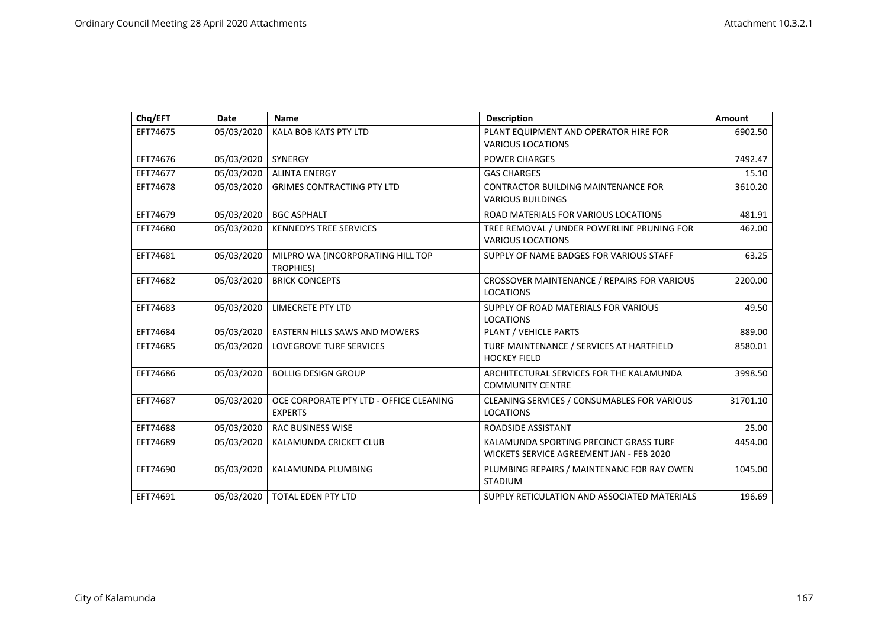| Chq/EFT  | <b>Date</b> | <b>Name</b>                                               | <b>Description</b>                                                                 | Amount   |
|----------|-------------|-----------------------------------------------------------|------------------------------------------------------------------------------------|----------|
| EFT74675 | 05/03/2020  | <b>KALA BOB KATS PTY LTD</b>                              | PLANT EQUIPMENT AND OPERATOR HIRE FOR<br><b>VARIOUS LOCATIONS</b>                  | 6902.50  |
| EFT74676 | 05/03/2020  | SYNERGY                                                   | <b>POWER CHARGES</b>                                                               | 7492.47  |
| EFT74677 | 05/03/2020  | <b>ALINTA ENERGY</b>                                      | <b>GAS CHARGES</b>                                                                 | 15.10    |
| EFT74678 | 05/03/2020  | <b>GRIMES CONTRACTING PTY LTD</b>                         | <b>CONTRACTOR BUILDING MAINTENANCE FOR</b><br><b>VARIOUS BUILDINGS</b>             | 3610.20  |
| EFT74679 | 05/03/2020  | <b>BGC ASPHALT</b>                                        | ROAD MATERIALS FOR VARIOUS LOCATIONS                                               | 481.91   |
| EFT74680 | 05/03/2020  | <b>KENNEDYS TREE SERVICES</b>                             | TREE REMOVAL / UNDER POWERLINE PRUNING FOR<br><b>VARIOUS LOCATIONS</b>             | 462.00   |
| EFT74681 | 05/03/2020  | MILPRO WA (INCORPORATING HILL TOP<br>TROPHIES)            | SUPPLY OF NAME BADGES FOR VARIOUS STAFF                                            | 63.25    |
| EFT74682 | 05/03/2020  | <b>BRICK CONCEPTS</b>                                     | CROSSOVER MAINTENANCE / REPAIRS FOR VARIOUS<br><b>LOCATIONS</b>                    | 2200.00  |
| EFT74683 | 05/03/2020  | <b>LIMECRETE PTY LTD</b>                                  | SUPPLY OF ROAD MATERIALS FOR VARIOUS<br><b>LOCATIONS</b>                           | 49.50    |
| EFT74684 | 05/03/2020  | <b>EASTERN HILLS SAWS AND MOWERS</b>                      | PLANT / VEHICLE PARTS                                                              | 889.00   |
| EFT74685 | 05/03/2020  | <b>LOVEGROVE TURF SERVICES</b>                            | TURF MAINTENANCE / SERVICES AT HARTFIELD<br><b>HOCKEY FIELD</b>                    | 8580.01  |
| EFT74686 | 05/03/2020  | <b>BOLLIG DESIGN GROUP</b>                                | ARCHITECTURAL SERVICES FOR THE KALAMUNDA<br><b>COMMUNITY CENTRE</b>                | 3998.50  |
| EFT74687 | 05/03/2020  | OCE CORPORATE PTY LTD - OFFICE CLEANING<br><b>EXPERTS</b> | CLEANING SERVICES / CONSUMABLES FOR VARIOUS<br><b>LOCATIONS</b>                    | 31701.10 |
| EFT74688 | 05/03/2020  | <b>RAC BUSINESS WISE</b>                                  | ROADSIDE ASSISTANT                                                                 | 25.00    |
| EFT74689 | 05/03/2020  | KALAMUNDA CRICKET CLUB                                    | KALAMUNDA SPORTING PRECINCT GRASS TURF<br>WICKETS SERVICE AGREEMENT JAN - FEB 2020 | 4454.00  |
| EFT74690 | 05/03/2020  | KALAMUNDA PLUMBING                                        | PLUMBING REPAIRS / MAINTENANC FOR RAY OWEN<br><b>STADIUM</b>                       | 1045.00  |
| EFT74691 | 05/03/2020  | <b>TOTAL EDEN PTY LTD</b>                                 | SUPPLY RETICULATION AND ASSOCIATED MATERIALS                                       | 196.69   |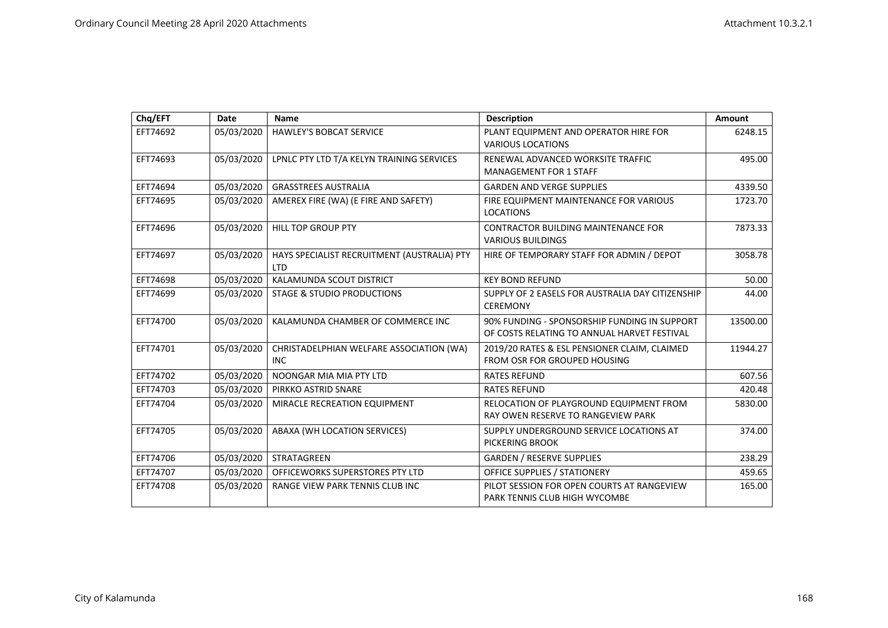| Chq/EFT  | Date       | Name                                                      | <b>Description</b>                                                                          | <b>Amount</b> |
|----------|------------|-----------------------------------------------------------|---------------------------------------------------------------------------------------------|---------------|
| EFT74692 | 05/03/2020 | HAWLEY'S BOBCAT SERVICE                                   | PLANT EQUIPMENT AND OPERATOR HIRE FOR<br><b>VARIOUS LOCATIONS</b>                           | 6248.15       |
| EFT74693 | 05/03/2020 | LPNLC PTY LTD T/A KELYN TRAINING SERVICES                 | RENEWAL ADVANCED WORKSITE TRAFFIC<br><b>MANAGEMENT FOR 1 STAFF</b>                          | 495.00        |
| EFT74694 | 05/03/2020 | <b>GRASSTREES AUSTRALIA</b>                               | <b>GARDEN AND VERGE SUPPLIES</b>                                                            | 4339.50       |
| EFT74695 | 05/03/2020 | AMEREX FIRE (WA) (E FIRE AND SAFETY)                      | FIRE EQUIPMENT MAINTENANCE FOR VARIOUS<br><b>LOCATIONS</b>                                  | 1723.70       |
| EFT74696 | 05/03/2020 | <b>HILL TOP GROUP PTY</b>                                 | CONTRACTOR BUILDING MAINTENANCE FOR<br><b>VARIOUS BUILDINGS</b>                             | 7873.33       |
| EFT74697 | 05/03/2020 | HAYS SPECIALIST RECRUITMENT (AUSTRALIA) PTY<br><b>LTD</b> | HIRE OF TEMPORARY STAFF FOR ADMIN / DEPOT                                                   | 3058.78       |
| EFT74698 | 05/03/2020 | KALAMUNDA SCOUT DISTRICT                                  | <b>KEY BOND REFUND</b>                                                                      | 50.00         |
| EFT74699 | 05/03/2020 | STAGE & STUDIO PRODUCTIONS                                | SUPPLY OF 2 EASELS FOR AUSTRALIA DAY CITIZENSHIP<br><b>CEREMONY</b>                         | 44.00         |
| EFT74700 | 05/03/2020 | KALAMUNDA CHAMBER OF COMMERCE INC                         | 90% FUNDING - SPONSORSHIP FUNDING IN SUPPORT<br>OF COSTS RELATING TO ANNUAL HARVET FESTIVAL | 13500.00      |
| EFT74701 | 05/03/2020 | CHRISTADELPHIAN WELFARE ASSOCIATION (WA)<br><b>INC</b>    | 2019/20 RATES & ESL PENSIONER CLAIM, CLAIMED<br>FROM OSR FOR GROUPED HOUSING                | 11944.27      |
| EFT74702 | 05/03/2020 | NOONGAR MIA MIA PTY LTD                                   | <b>RATES REFUND</b>                                                                         | 607.56        |
| EFT74703 | 05/03/2020 | PIRKKO ASTRID SNARE                                       | <b>RATES REFUND</b>                                                                         | 420.48        |
| EFT74704 | 05/03/2020 | MIRACLE RECREATION EQUIPMENT                              | RELOCATION OF PLAYGROUND EQUIPMENT FROM<br>RAY OWEN RESERVE TO RANGEVIEW PARK               | 5830.00       |
| EFT74705 | 05/03/2020 | ABAXA (WH LOCATION SERVICES)                              | SUPPLY UNDERGROUND SERVICE LOCATIONS AT<br>PICKERING BROOK                                  | 374.00        |
| EFT74706 | 05/03/2020 | STRATAGREEN                                               | <b>GARDEN / RESERVE SUPPLIES</b>                                                            | 238.29        |
| EFT74707 | 05/03/2020 | OFFICEWORKS SUPERSTORES PTY LTD                           | OFFICE SUPPLIES / STATIONERY                                                                | 459.65        |
| EFT74708 | 05/03/2020 | RANGE VIEW PARK TENNIS CLUB INC                           | PILOT SESSION FOR OPEN COURTS AT RANGEVIEW<br>PARK TENNIS CLUB HIGH WYCOMBE                 | 165.00        |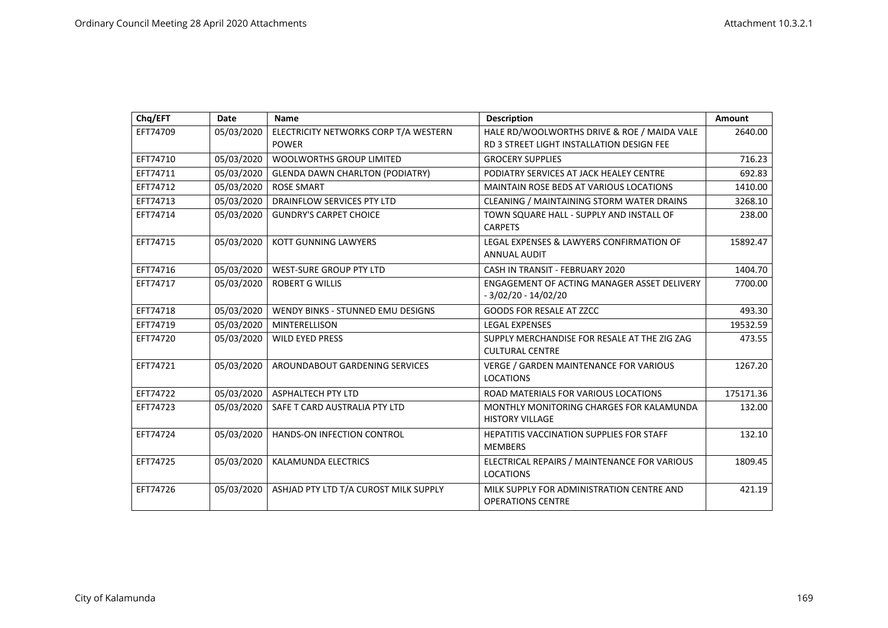| Chq/EFT  | Date       | <b>Name</b>                                           | <b>Description</b>                                                                       | Amount    |
|----------|------------|-------------------------------------------------------|------------------------------------------------------------------------------------------|-----------|
| EFT74709 | 05/03/2020 | ELECTRICITY NETWORKS CORP T/A WESTERN<br><b>POWER</b> | HALE RD/WOOLWORTHS DRIVE & ROE / MAIDA VALE<br>RD 3 STREET LIGHT INSTALLATION DESIGN FEE | 2640.00   |
| EFT74710 | 05/03/2020 | <b>WOOLWORTHS GROUP LIMITED</b>                       | <b>GROCERY SUPPLIES</b>                                                                  | 716.23    |
| EFT74711 | 05/03/2020 | <b>GLENDA DAWN CHARLTON (PODIATRY)</b>                | PODIATRY SERVICES AT JACK HEALEY CENTRE                                                  | 692.83    |
| EFT74712 | 05/03/2020 | <b>ROSE SMART</b>                                     | <b>MAINTAIN ROSE BEDS AT VARIOUS LOCATIONS</b>                                           | 1410.00   |
| EFT74713 | 05/03/2020 | DRAINFLOW SERVICES PTY LTD                            | CLEANING / MAINTAINING STORM WATER DRAINS                                                | 3268.10   |
| EFT74714 | 05/03/2020 | <b>GUNDRY'S CARPET CHOICE</b>                         | TOWN SQUARE HALL - SUPPLY AND INSTALL OF<br><b>CARPETS</b>                               | 238.00    |
| EFT74715 | 05/03/2020 | <b>KOTT GUNNING LAWYERS</b>                           | LEGAL EXPENSES & LAWYERS CONFIRMATION OF<br><b>ANNUAL AUDIT</b>                          | 15892.47  |
| EFT74716 | 05/03/2020 | <b>WEST-SURE GROUP PTY LTD</b>                        | CASH IN TRANSIT - FEBRUARY 2020                                                          | 1404.70   |
| EFT74717 | 05/03/2020 | <b>ROBERT G WILLIS</b>                                | ENGAGEMENT OF ACTING MANAGER ASSET DELIVERY<br>$-3/02/20 - 14/02/20$                     | 7700.00   |
| EFT74718 | 05/03/2020 | WENDY BINKS - STUNNED EMU DESIGNS                     | <b>GOODS FOR RESALE AT ZZCC</b>                                                          | 493.30    |
| EFT74719 | 05/03/2020 | <b>MINTERELLISON</b>                                  | <b>LEGAL EXPENSES</b>                                                                    | 19532.59  |
| EFT74720 | 05/03/2020 | <b>WILD EYED PRESS</b>                                | SUPPLY MERCHANDISE FOR RESALE AT THE ZIG ZAG<br><b>CULTURAL CENTRE</b>                   | 473.55    |
| EFT74721 | 05/03/2020 | AROUNDABOUT GARDENING SERVICES                        | VERGE / GARDEN MAINTENANCE FOR VARIOUS<br><b>LOCATIONS</b>                               | 1267.20   |
| EFT74722 | 05/03/2020 | ASPHALTECH PTY LTD                                    | ROAD MATERIALS FOR VARIOUS LOCATIONS                                                     | 175171.36 |
| EFT74723 | 05/03/2020 | SAFE T CARD AUSTRALIA PTY LTD                         | MONTHLY MONITORING CHARGES FOR KALAMUNDA<br><b>HISTORY VILLAGE</b>                       | 132.00    |
| EFT74724 | 05/03/2020 | HANDS-ON INFECTION CONTROL                            | <b>HEPATITIS VACCINATION SUPPLIES FOR STAFF</b><br><b>MEMBERS</b>                        | 132.10    |
| EFT74725 | 05/03/2020 | <b>KALAMUNDA ELECTRICS</b>                            | ELECTRICAL REPAIRS / MAINTENANCE FOR VARIOUS<br><b>LOCATIONS</b>                         | 1809.45   |
| EFT74726 | 05/03/2020 | ASHJAD PTY LTD T/A CUROST MILK SUPPLY                 | MILK SUPPLY FOR ADMINISTRATION CENTRE AND<br><b>OPERATIONS CENTRE</b>                    | 421.19    |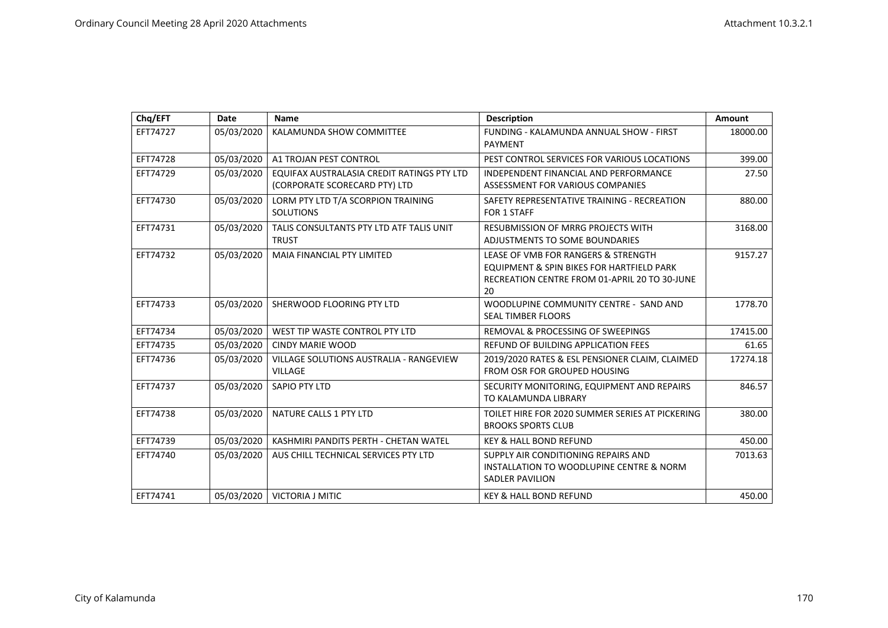| Chq/EFT  | Date       | <b>Name</b>                                                                 | <b>Description</b>                                                                                                                      | <b>Amount</b> |
|----------|------------|-----------------------------------------------------------------------------|-----------------------------------------------------------------------------------------------------------------------------------------|---------------|
| EFT74727 | 05/03/2020 | KALAMUNDA SHOW COMMITTEE                                                    | FUNDING - KALAMUNDA ANNUAL SHOW - FIRST<br><b>PAYMENT</b>                                                                               | 18000.00      |
| EFT74728 | 05/03/2020 | A1 TROJAN PEST CONTROL                                                      | PEST CONTROL SERVICES FOR VARIOUS LOCATIONS                                                                                             | 399.00        |
| EFT74729 | 05/03/2020 | EQUIFAX AUSTRALASIA CREDIT RATINGS PTY LTD<br>(CORPORATE SCORECARD PTY) LTD | INDEPENDENT FINANCIAL AND PERFORMANCE<br>ASSESSMENT FOR VARIOUS COMPANIES                                                               | 27.50         |
| EFT74730 | 05/03/2020 | LORM PTY LTD T/A SCORPION TRAINING<br><b>SOLUTIONS</b>                      | SAFETY REPRESENTATIVE TRAINING - RECREATION<br>FOR 1 STAFF                                                                              | 880.00        |
| EFT74731 | 05/03/2020 | TALIS CONSULTANTS PTY LTD ATF TALIS UNIT<br><b>TRUST</b>                    | <b>RESUBMISSION OF MRRG PROJECTS WITH</b><br>ADJUSTMENTS TO SOME BOUNDARIES                                                             | 3168.00       |
| EFT74732 | 05/03/2020 | MAIA FINANCIAL PTY LIMITED                                                  | LEASE OF VMB FOR RANGERS & STRENGTH<br>EQUIPMENT & SPIN BIKES FOR HARTFIELD PARK<br>RECREATION CENTRE FROM 01-APRIL 20 TO 30-JUNE<br>20 | 9157.27       |
| EFT74733 | 05/03/2020 | SHERWOOD FLOORING PTY LTD                                                   | WOODLUPINE COMMUNITY CENTRE - SAND AND<br><b>SEAL TIMBER FLOORS</b>                                                                     | 1778.70       |
| EFT74734 | 05/03/2020 | WEST TIP WASTE CONTROL PTY LTD                                              | <b>REMOVAL &amp; PROCESSING OF SWEEPINGS</b>                                                                                            | 17415.00      |
| EFT74735 | 05/03/2020 | <b>CINDY MARIE WOOD</b>                                                     | REFUND OF BUILDING APPLICATION FEES                                                                                                     | 61.65         |
| EFT74736 | 05/03/2020 | <b>VILLAGE SOLUTIONS AUSTRALIA - RANGEVIEW</b><br><b>VILLAGE</b>            | 2019/2020 RATES & ESL PENSIONER CLAIM, CLAIMED<br>FROM OSR FOR GROUPED HOUSING                                                          | 17274.18      |
| EFT74737 | 05/03/2020 | <b>SAPIO PTY LTD</b>                                                        | SECURITY MONITORING, EQUIPMENT AND REPAIRS<br>TO KALAMUNDA LIBRARY                                                                      | 846.57        |
| EFT74738 | 05/03/2020 | NATURE CALLS 1 PTY LTD                                                      | TOILET HIRE FOR 2020 SUMMER SERIES AT PICKERING<br><b>BROOKS SPORTS CLUB</b>                                                            | 380.00        |
| EFT74739 | 05/03/2020 | KASHMIRI PANDITS PERTH - CHETAN WATEL                                       | <b>KEY &amp; HALL BOND REFUND</b>                                                                                                       | 450.00        |
| EFT74740 | 05/03/2020 | AUS CHILL TECHNICAL SERVICES PTY LTD                                        | SUPPLY AIR CONDITIONING REPAIRS AND<br>INSTALLATION TO WOODLUPINE CENTRE & NORM<br><b>SADLER PAVILION</b>                               | 7013.63       |
| EFT74741 | 05/03/2020 | <b>VICTORIA J MITIC</b>                                                     | <b>KEY &amp; HALL BOND REFUND</b>                                                                                                       | 450.00        |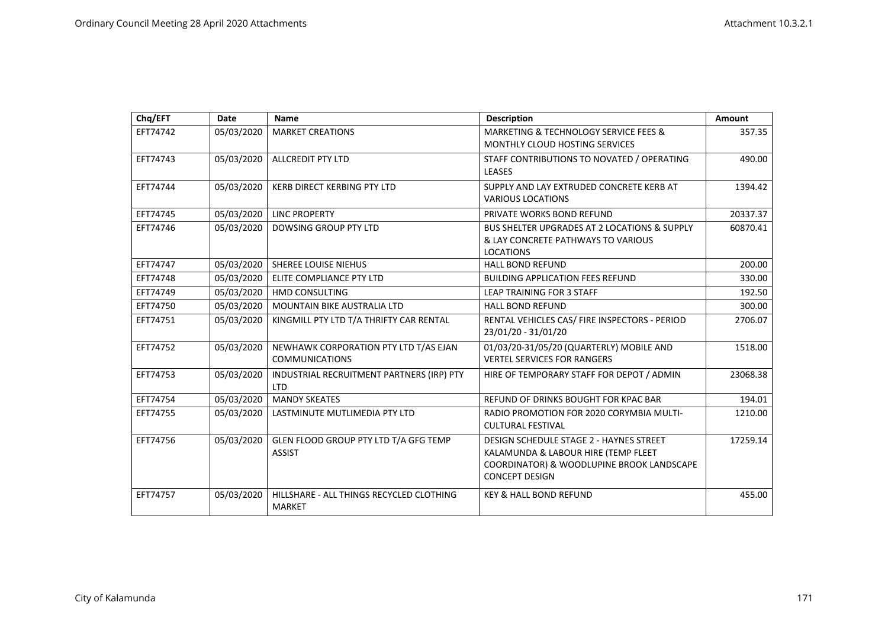| Chq/EFT  | <b>Date</b> | <b>Name</b>                                                    | <b>Description</b>                                                                                                                                          | Amount   |
|----------|-------------|----------------------------------------------------------------|-------------------------------------------------------------------------------------------------------------------------------------------------------------|----------|
| EFT74742 | 05/03/2020  | <b>MARKET CREATIONS</b>                                        | MARKETING & TECHNOLOGY SERVICE FEES &<br>MONTHLY CLOUD HOSTING SERVICES                                                                                     | 357.35   |
| EFT74743 | 05/03/2020  | <b>ALLCREDIT PTY LTD</b>                                       | STAFF CONTRIBUTIONS TO NOVATED / OPERATING<br>LEASES                                                                                                        | 490.00   |
| EFT74744 | 05/03/2020  | <b>KERB DIRECT KERBING PTY LTD</b>                             | SUPPLY AND LAY EXTRUDED CONCRETE KERB AT<br><b>VARIOUS LOCATIONS</b>                                                                                        | 1394.42  |
| EFT74745 | 05/03/2020  | <b>LINC PROPERTY</b>                                           | PRIVATE WORKS BOND REFUND                                                                                                                                   | 20337.37 |
| EFT74746 | 05/03/2020  | DOWSING GROUP PTY LTD                                          | <b>BUS SHELTER UPGRADES AT 2 LOCATIONS &amp; SUPPLY</b><br>& LAY CONCRETE PATHWAYS TO VARIOUS<br><b>LOCATIONS</b>                                           | 60870.41 |
| EFT74747 | 05/03/2020  | <b>SHEREE LOUISE NIEHUS</b>                                    | <b>HALL BOND REFUND</b>                                                                                                                                     | 200.00   |
| EFT74748 | 05/03/2020  | ELITE COMPLIANCE PTY LTD                                       | <b>BUILDING APPLICATION FEES REFUND</b>                                                                                                                     | 330.00   |
| EFT74749 | 05/03/2020  | <b>HMD CONSULTING</b>                                          | <b>LEAP TRAINING FOR 3 STAFF</b>                                                                                                                            | 192.50   |
| EFT74750 | 05/03/2020  | <b>MOUNTAIN BIKE AUSTRALIA LTD</b>                             | <b>HALL BOND REFUND</b>                                                                                                                                     | 300.00   |
| EFT74751 | 05/03/2020  | KINGMILL PTY LTD T/A THRIFTY CAR RENTAL                        | RENTAL VEHICLES CAS/ FIRE INSPECTORS - PERIOD<br>23/01/20 - 31/01/20                                                                                        | 2706.07  |
| EFT74752 | 05/03/2020  | NEWHAWK CORPORATION PTY LTD T/AS EJAN<br><b>COMMUNICATIONS</b> | 01/03/20-31/05/20 (QUARTERLY) MOBILE AND<br><b>VERTEL SERVICES FOR RANGERS</b>                                                                              | 1518.00  |
| EFT74753 | 05/03/2020  | INDUSTRIAL RECRUITMENT PARTNERS (IRP) PTY<br><b>LTD</b>        | HIRE OF TEMPORARY STAFF FOR DEPOT / ADMIN                                                                                                                   | 23068.38 |
| EFT74754 | 05/03/2020  | <b>MANDY SKEATES</b>                                           | REFUND OF DRINKS BOUGHT FOR KPAC BAR                                                                                                                        | 194.01   |
| EFT74755 | 05/03/2020  | LASTMINUTE MUTLIMEDIA PTY LTD                                  | RADIO PROMOTION FOR 2020 CORYMBIA MULTI-<br><b>CULTURAL FESTIVAL</b>                                                                                        | 1210.00  |
| EFT74756 | 05/03/2020  | GLEN FLOOD GROUP PTY LTD T/A GFG TEMP<br><b>ASSIST</b>         | <b>DESIGN SCHEDULE STAGE 2 - HAYNES STREET</b><br>KALAMUNDA & LABOUR HIRE (TEMP FLEET<br>COORDINATOR) & WOODLUPINE BROOK LANDSCAPE<br><b>CONCEPT DESIGN</b> | 17259.14 |
| EFT74757 | 05/03/2020  | HILLSHARE - ALL THINGS RECYCLED CLOTHING<br><b>MARKET</b>      | <b>KEY &amp; HALL BOND REFUND</b>                                                                                                                           | 455.00   |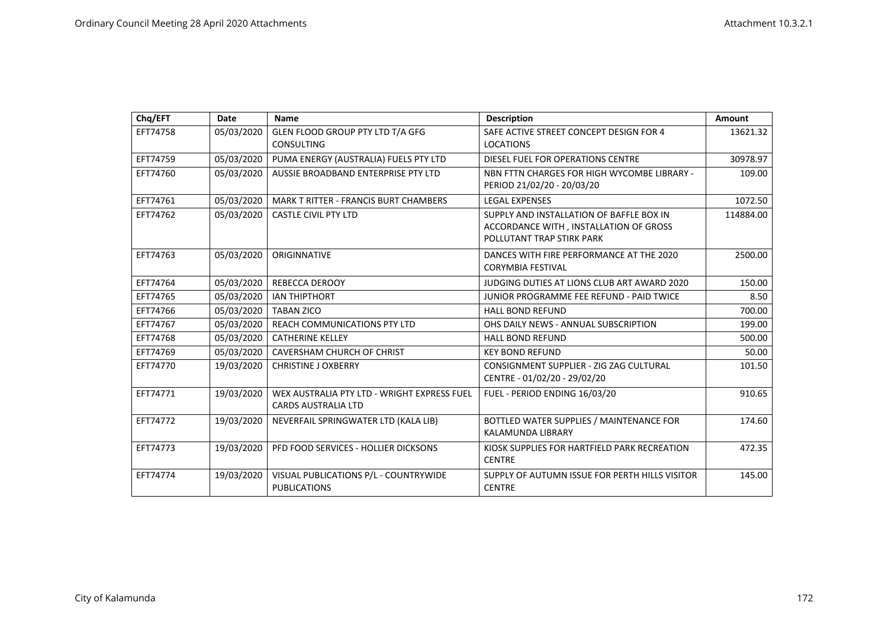| Chq/EFT  | Date       | Name                                         | <b>Description</b>                             | Amount    |
|----------|------------|----------------------------------------------|------------------------------------------------|-----------|
| EFT74758 | 05/03/2020 | <b>GLEN FLOOD GROUP PTY LTD T/A GFG</b>      | SAFE ACTIVE STREET CONCEPT DESIGN FOR 4        | 13621.32  |
|          |            | <b>CONSULTING</b>                            | <b>LOCATIONS</b>                               |           |
| EFT74759 | 05/03/2020 | PUMA ENERGY (AUSTRALIA) FUELS PTY LTD        | DIESEL FUEL FOR OPERATIONS CENTRE              | 30978.97  |
| EFT74760 | 05/03/2020 | AUSSIE BROADBAND ENTERPRISE PTY LTD          | NBN FTTN CHARGES FOR HIGH WYCOMBE LIBRARY -    | 109.00    |
|          |            |                                              | PERIOD 21/02/20 - 20/03/20                     |           |
| EFT74761 | 05/03/2020 | <b>MARK T RITTER - FRANCIS BURT CHAMBERS</b> | <b>LEGAL EXPENSES</b>                          | 1072.50   |
| EFT74762 | 05/03/2020 | <b>CASTLE CIVIL PTY LTD</b>                  | SUPPLY AND INSTALLATION OF BAFFLE BOX IN       | 114884.00 |
|          |            |                                              | ACCORDANCE WITH, INSTALLATION OF GROSS         |           |
|          |            |                                              | POLLUTANT TRAP STIRK PARK                      |           |
| EFT74763 | 05/03/2020 | ORIGINNATIVE                                 | DANCES WITH FIRE PERFORMANCE AT THE 2020       | 2500.00   |
|          |            |                                              | <b>CORYMBIA FESTIVAL</b>                       |           |
| EFT74764 | 05/03/2020 | <b>REBECCA DEROOY</b>                        | JUDGING DUTIES AT LIONS CLUB ART AWARD 2020    | 150.00    |
| EFT74765 | 05/03/2020 | <b>IAN THIPTHORT</b>                         | JUNIOR PROGRAMME FEE REFUND - PAID TWICE       | 8.50      |
| EFT74766 | 05/03/2020 | <b>TABAN ZICO</b>                            | <b>HALL BOND REFUND</b>                        | 700.00    |
| EFT74767 | 05/03/2020 | <b>REACH COMMUNICATIONS PTY LTD</b>          | OHS DAILY NEWS - ANNUAL SUBSCRIPTION           | 199.00    |
| EFT74768 | 05/03/2020 | <b>CATHERINE KELLEY</b>                      | <b>HALL BOND REFUND</b>                        | 500.00    |
| EFT74769 | 05/03/2020 | <b>CAVERSHAM CHURCH OF CHRIST</b>            | <b>KEY BOND REFUND</b>                         | 50.00     |
| EFT74770 | 19/03/2020 | <b>CHRISTINE J OXBERRY</b>                   | CONSIGNMENT SUPPLIER - ZIG ZAG CULTURAL        | 101.50    |
|          |            |                                              | CENTRE - 01/02/20 - 29/02/20                   |           |
| EFT74771 | 19/03/2020 | WEX AUSTRALIA PTY LTD - WRIGHT EXPRESS FUEL  | FUEL - PERIOD ENDING 16/03/20                  | 910.65    |
|          |            | <b>CARDS AUSTRALIA LTD</b>                   |                                                |           |
| EFT74772 | 19/03/2020 | NEVERFAIL SPRINGWATER LTD (KALA LIB)         | BOTTLED WATER SUPPLIES / MAINTENANCE FOR       | 174.60    |
|          |            |                                              | <b>KALAMUNDA LIBRARY</b>                       |           |
| EFT74773 | 19/03/2020 | PFD FOOD SERVICES - HOLLIER DICKSONS         | KIOSK SUPPLIES FOR HARTFIELD PARK RECREATION   | 472.35    |
|          |            |                                              | <b>CENTRE</b>                                  |           |
| EFT74774 | 19/03/2020 | VISUAL PUBLICATIONS P/L - COUNTRYWIDE        | SUPPLY OF AUTUMN ISSUE FOR PERTH HILLS VISITOR | 145.00    |
|          |            | <b>PUBLICATIONS</b>                          | <b>CENTRE</b>                                  |           |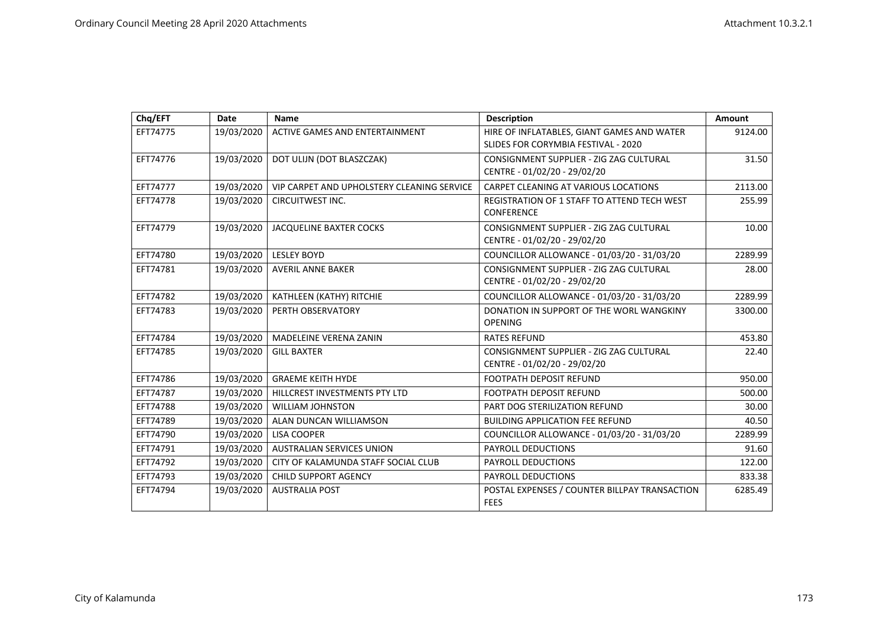| Chq/EFT  | Date       | <b>Name</b>                                | <b>Description</b>                                                                | Amount  |
|----------|------------|--------------------------------------------|-----------------------------------------------------------------------------------|---------|
| EFT74775 | 19/03/2020 | <b>ACTIVE GAMES AND ENTERTAINMENT</b>      | HIRE OF INFLATABLES, GIANT GAMES AND WATER<br>SLIDES FOR CORYMBIA FESTIVAL - 2020 | 9124.00 |
| EFT74776 | 19/03/2020 | DOT ULIJN (DOT BLASZCZAK)                  | CONSIGNMENT SUPPLIER - ZIG ZAG CULTURAL<br>CENTRE - 01/02/20 - 29/02/20           | 31.50   |
| EFT74777 | 19/03/2020 | VIP CARPET AND UPHOLSTERY CLEANING SERVICE | CARPET CLEANING AT VARIOUS LOCATIONS                                              | 2113.00 |
| EFT74778 | 19/03/2020 | <b>CIRCUITWEST INC.</b>                    | REGISTRATION OF 1 STAFF TO ATTEND TECH WEST<br><b>CONFERENCE</b>                  | 255.99  |
| EFT74779 | 19/03/2020 | <b>JACQUELINE BAXTER COCKS</b>             | CONSIGNMENT SUPPLIER - ZIG ZAG CULTURAL<br>CENTRE - 01/02/20 - 29/02/20           | 10.00   |
| EFT74780 | 19/03/2020 | <b>LESLEY BOYD</b>                         | COUNCILLOR ALLOWANCE - 01/03/20 - 31/03/20                                        | 2289.99 |
| EFT74781 | 19/03/2020 | <b>AVERIL ANNE BAKER</b>                   | CONSIGNMENT SUPPLIER - ZIG ZAG CULTURAL<br>CENTRE - 01/02/20 - 29/02/20           | 28.00   |
| EFT74782 | 19/03/2020 | KATHLEEN (KATHY) RITCHIE                   | COUNCILLOR ALLOWANCE - 01/03/20 - 31/03/20                                        | 2289.99 |
| EFT74783 | 19/03/2020 | PERTH OBSERVATORY                          | DONATION IN SUPPORT OF THE WORL WANGKINY<br><b>OPENING</b>                        | 3300.00 |
| EFT74784 | 19/03/2020 | <b>MADELEINE VERENA ZANIN</b>              | <b>RATES REFUND</b>                                                               | 453.80  |
| EFT74785 | 19/03/2020 | <b>GILL BAXTER</b>                         | CONSIGNMENT SUPPLIER - ZIG ZAG CULTURAL<br>CENTRE - 01/02/20 - 29/02/20           | 22.40   |
| EFT74786 | 19/03/2020 | <b>GRAEME KEITH HYDE</b>                   | <b>FOOTPATH DEPOSIT REFUND</b>                                                    | 950.00  |
| EFT74787 | 19/03/2020 | HILLCREST INVESTMENTS PTY LTD              | <b>FOOTPATH DEPOSIT REFUND</b>                                                    | 500.00  |
| EFT74788 | 19/03/2020 | <b>WILLIAM JOHNSTON</b>                    | PART DOG STERILIZATION REFUND                                                     | 30.00   |
| EFT74789 | 19/03/2020 | ALAN DUNCAN WILLIAMSON                     | <b>BUILDING APPLICATION FEE REFUND</b>                                            | 40.50   |
| EFT74790 | 19/03/2020 | <b>LISA COOPER</b>                         | COUNCILLOR ALLOWANCE - 01/03/20 - 31/03/20                                        | 2289.99 |
| EFT74791 | 19/03/2020 | <b>AUSTRALIAN SERVICES UNION</b>           | <b>PAYROLL DEDUCTIONS</b>                                                         | 91.60   |
| EFT74792 | 19/03/2020 | CITY OF KALAMUNDA STAFF SOCIAL CLUB        | PAYROLL DEDUCTIONS                                                                | 122.00  |
| EFT74793 | 19/03/2020 | <b>CHILD SUPPORT AGENCY</b>                | PAYROLL DEDUCTIONS                                                                | 833.38  |
| EFT74794 | 19/03/2020 | <b>AUSTRALIA POST</b>                      | POSTAL EXPENSES / COUNTER BILLPAY TRANSACTION<br><b>FEES</b>                      | 6285.49 |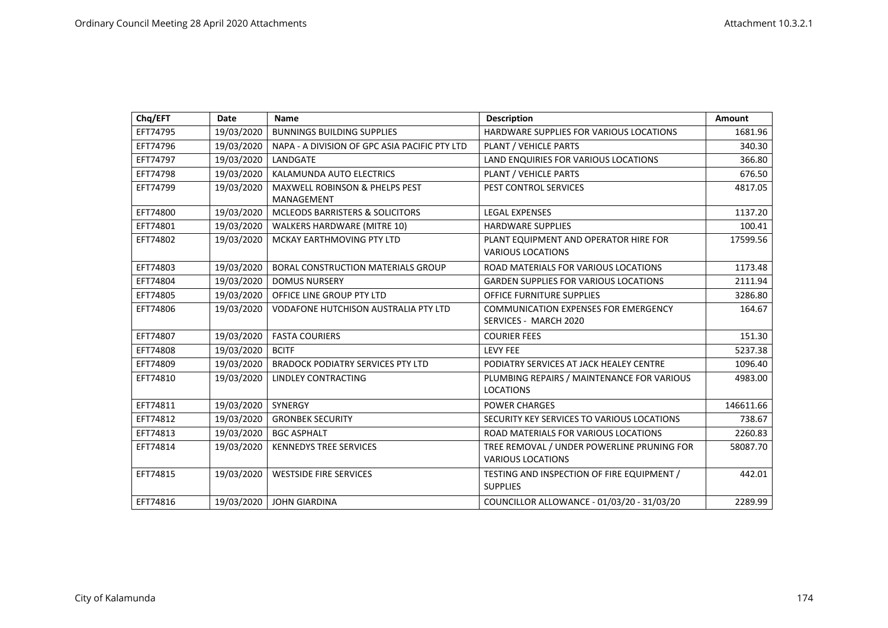| Chq/EFT  | <b>Date</b> | Name                                          | <b>Description</b>                                                     | Amount    |
|----------|-------------|-----------------------------------------------|------------------------------------------------------------------------|-----------|
| EFT74795 | 19/03/2020  | <b>BUNNINGS BUILDING SUPPLIES</b>             | HARDWARE SUPPLIES FOR VARIOUS LOCATIONS                                | 1681.96   |
| EFT74796 | 19/03/2020  | NAPA - A DIVISION OF GPC ASIA PACIFIC PTY LTD | PLANT / VEHICLE PARTS                                                  | 340.30    |
| EFT74797 | 19/03/2020  | LANDGATE                                      | LAND ENQUIRIES FOR VARIOUS LOCATIONS                                   | 366.80    |
| EFT74798 | 19/03/2020  | KALAMUNDA AUTO ELECTRICS                      | PLANT / VEHICLE PARTS                                                  | 676.50    |
| EFT74799 | 19/03/2020  | MAXWELL ROBINSON & PHELPS PEST<br>MANAGEMENT  | PEST CONTROL SERVICES                                                  | 4817.05   |
| EFT74800 | 19/03/2020  | MCLEODS BARRISTERS & SOLICITORS               | <b>LEGAL EXPENSES</b>                                                  | 1137.20   |
| EFT74801 | 19/03/2020  | <b>WALKERS HARDWARE (MITRE 10)</b>            | <b>HARDWARE SUPPLIES</b>                                               | 100.41    |
| EFT74802 | 19/03/2020  | MCKAY EARTHMOVING PTY LTD                     | PLANT EQUIPMENT AND OPERATOR HIRE FOR<br><b>VARIOUS LOCATIONS</b>      | 17599.56  |
| EFT74803 | 19/03/2020  | <b>BORAL CONSTRUCTION MATERIALS GROUP</b>     | ROAD MATERIALS FOR VARIOUS LOCATIONS                                   | 1173.48   |
| EFT74804 | 19/03/2020  | <b>DOMUS NURSERY</b>                          | <b>GARDEN SUPPLIES FOR VARIOUS LOCATIONS</b>                           | 2111.94   |
| EFT74805 | 19/03/2020  | OFFICE LINE GROUP PTY LTD                     | <b>OFFICE FURNITURE SUPPLIES</b>                                       | 3286.80   |
| EFT74806 | 19/03/2020  | <b>VODAFONE HUTCHISON AUSTRALIA PTY LTD</b>   | COMMUNICATION EXPENSES FOR EMERGENCY<br>SERVICES - MARCH 2020          | 164.67    |
| EFT74807 | 19/03/2020  | <b>FASTA COURIERS</b>                         | <b>COURIER FEES</b>                                                    | 151.30    |
| EFT74808 | 19/03/2020  | <b>BCITF</b>                                  | <b>LEVY FEE</b>                                                        | 5237.38   |
| EFT74809 | 19/03/2020  | <b>BRADOCK PODIATRY SERVICES PTY LTD</b>      | PODIATRY SERVICES AT JACK HEALEY CENTRE                                | 1096.40   |
| EFT74810 | 19/03/2020  | LINDLEY CONTRACTING                           | PLUMBING REPAIRS / MAINTENANCE FOR VARIOUS<br><b>LOCATIONS</b>         | 4983.00   |
| EFT74811 | 19/03/2020  | SYNERGY                                       | <b>POWER CHARGES</b>                                                   | 146611.66 |
| EFT74812 | 19/03/2020  | <b>GRONBEK SECURITY</b>                       | SECURITY KEY SERVICES TO VARIOUS LOCATIONS                             | 738.67    |
| EFT74813 | 19/03/2020  | <b>BGC ASPHALT</b>                            | ROAD MATERIALS FOR VARIOUS LOCATIONS                                   | 2260.83   |
| EFT74814 | 19/03/2020  | <b>KENNEDYS TREE SERVICES</b>                 | TREE REMOVAL / UNDER POWERLINE PRUNING FOR<br><b>VARIOUS LOCATIONS</b> | 58087.70  |
| EFT74815 | 19/03/2020  | <b>WESTSIDE FIRE SERVICES</b>                 | TESTING AND INSPECTION OF FIRE EQUIPMENT /<br><b>SUPPLIES</b>          | 442.01    |
| EFT74816 | 19/03/2020  | <b>JOHN GIARDINA</b>                          | COUNCILLOR ALLOWANCE - 01/03/20 - 31/03/20                             | 2289.99   |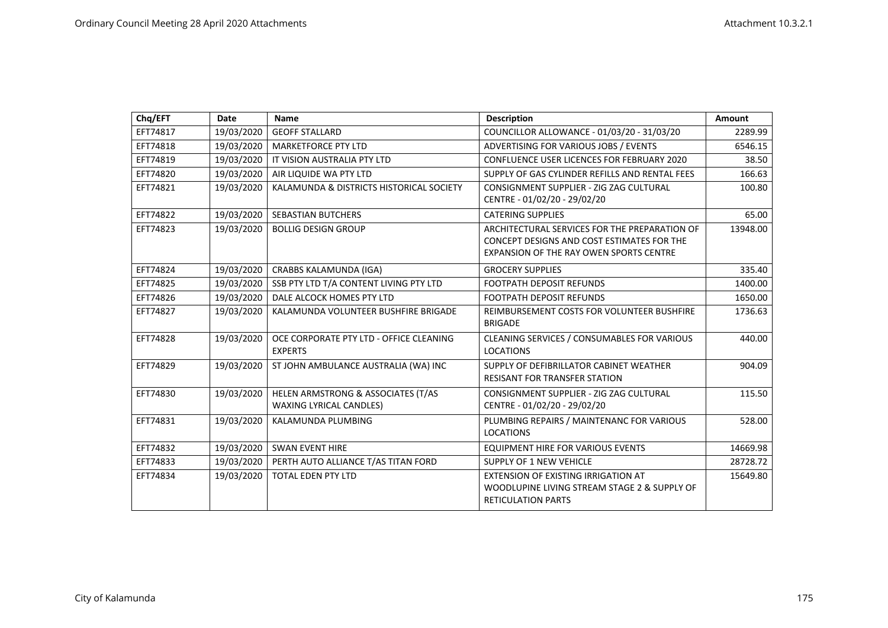| Chq/EFT  | Date       | <b>Name</b>                                                          | <b>Description</b>                                                                                                                     | <b>Amount</b> |
|----------|------------|----------------------------------------------------------------------|----------------------------------------------------------------------------------------------------------------------------------------|---------------|
| EFT74817 | 19/03/2020 | <b>GEOFF STALLARD</b>                                                | COUNCILLOR ALLOWANCE - 01/03/20 - 31/03/20                                                                                             | 2289.99       |
| EFT74818 | 19/03/2020 | <b>MARKETFORCE PTY LTD</b>                                           | ADVERTISING FOR VARIOUS JOBS / EVENTS                                                                                                  | 6546.15       |
| EFT74819 | 19/03/2020 | IT VISION AUSTRALIA PTY LTD                                          | <b>CONFLUENCE USER LICENCES FOR FEBRUARY 2020</b>                                                                                      | 38.50         |
| EFT74820 | 19/03/2020 | AIR LIQUIDE WA PTY LTD                                               | SUPPLY OF GAS CYLINDER REFILLS AND RENTAL FEES                                                                                         | 166.63        |
| EFT74821 | 19/03/2020 | KALAMUNDA & DISTRICTS HISTORICAL SOCIETY                             | CONSIGNMENT SUPPLIER - ZIG ZAG CULTURAL<br>CENTRE - 01/02/20 - 29/02/20                                                                | 100.80        |
| EFT74822 | 19/03/2020 | <b>SEBASTIAN BUTCHERS</b>                                            | <b>CATERING SUPPLIES</b>                                                                                                               | 65.00         |
| EFT74823 | 19/03/2020 | <b>BOLLIG DESIGN GROUP</b>                                           | ARCHITECTURAL SERVICES FOR THE PREPARATION OF<br>CONCEPT DESIGNS AND COST ESTIMATES FOR THE<br>EXPANSION OF THE RAY OWEN SPORTS CENTRE | 13948.00      |
| EFT74824 | 19/03/2020 | CRABBS KALAMUNDA (IGA)                                               | <b>GROCERY SUPPLIES</b>                                                                                                                | 335.40        |
| EFT74825 | 19/03/2020 | SSB PTY LTD T/A CONTENT LIVING PTY LTD                               | <b>FOOTPATH DEPOSIT REFUNDS</b>                                                                                                        | 1400.00       |
| EFT74826 | 19/03/2020 | DALE ALCOCK HOMES PTY LTD                                            | <b>FOOTPATH DEPOSIT REFUNDS</b>                                                                                                        | 1650.00       |
| EFT74827 | 19/03/2020 | KALAMUNDA VOLUNTEER BUSHFIRE BRIGADE                                 | REIMBURSEMENT COSTS FOR VOLUNTEER BUSHFIRE<br><b>BRIGADE</b>                                                                           | 1736.63       |
| EFT74828 | 19/03/2020 | OCE CORPORATE PTY LTD - OFFICE CLEANING<br><b>EXPERTS</b>            | CLEANING SERVICES / CONSUMABLES FOR VARIOUS<br><b>LOCATIONS</b>                                                                        | 440.00        |
| EFT74829 | 19/03/2020 | ST JOHN AMBULANCE AUSTRALIA (WA) INC                                 | SUPPLY OF DEFIBRILLATOR CABINET WEATHER<br><b>RESISANT FOR TRANSFER STATION</b>                                                        | 904.09        |
| EFT74830 | 19/03/2020 | HELEN ARMSTRONG & ASSOCIATES (T/AS<br><b>WAXING LYRICAL CANDLES)</b> | CONSIGNMENT SUPPLIER - ZIG ZAG CULTURAL<br>CENTRE - 01/02/20 - 29/02/20                                                                | 115.50        |
| EFT74831 | 19/03/2020 | KALAMUNDA PLUMBING                                                   | PLUMBING REPAIRS / MAINTENANC FOR VARIOUS<br><b>LOCATIONS</b>                                                                          | 528.00        |
| EFT74832 | 19/03/2020 | <b>SWAN EVENT HIRE</b>                                               | <b>EQUIPMENT HIRE FOR VARIOUS EVENTS</b>                                                                                               | 14669.98      |
| EFT74833 | 19/03/2020 | PERTH AUTO ALLIANCE T/AS TITAN FORD                                  | <b>SUPPLY OF 1 NEW VEHICLE</b>                                                                                                         | 28728.72      |
| EFT74834 | 19/03/2020 | <b>TOTAL EDEN PTY LTD</b>                                            | <b>EXTENSION OF EXISTING IRRIGATION AT</b><br>WOODLUPINE LIVING STREAM STAGE 2 & SUPPLY OF<br><b>RETICULATION PARTS</b>                | 15649.80      |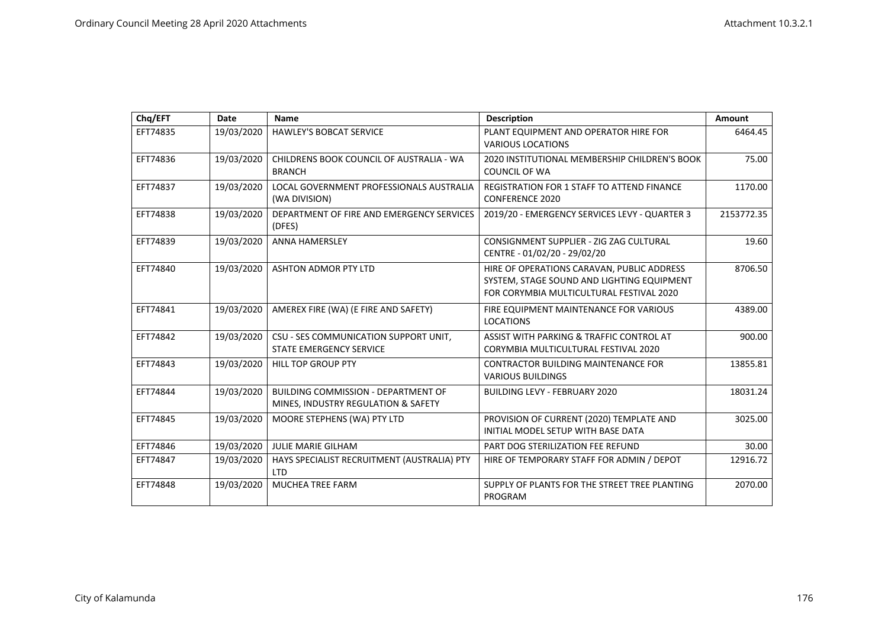| Chq/EFT  | Date       | <b>Name</b>                                                                       | <b>Description</b>                                                                                                                   | <b>Amount</b> |
|----------|------------|-----------------------------------------------------------------------------------|--------------------------------------------------------------------------------------------------------------------------------------|---------------|
| EFT74835 | 19/03/2020 | <b>HAWLEY'S BOBCAT SERVICE</b>                                                    | PLANT EQUIPMENT AND OPERATOR HIRE FOR<br><b>VARIOUS LOCATIONS</b>                                                                    | 6464.45       |
| EFT74836 | 19/03/2020 | CHILDRENS BOOK COUNCIL OF AUSTRALIA - WA<br><b>BRANCH</b>                         | 2020 INSTITUTIONAL MEMBERSHIP CHILDREN'S BOOK<br><b>COUNCIL OF WA</b>                                                                | 75.00         |
| EFT74837 | 19/03/2020 | LOCAL GOVERNMENT PROFESSIONALS AUSTRALIA<br>(WA DIVISION)                         | <b>REGISTRATION FOR 1 STAFF TO ATTEND FINANCE</b><br><b>CONFERENCE 2020</b>                                                          | 1170.00       |
| EFT74838 | 19/03/2020 | DEPARTMENT OF FIRE AND EMERGENCY SERVICES<br>(DFES)                               | 2019/20 - EMERGENCY SERVICES LEVY - QUARTER 3                                                                                        | 2153772.35    |
| EFT74839 | 19/03/2020 | <b>ANNA HAMERSLEY</b>                                                             | CONSIGNMENT SUPPLIER - ZIG ZAG CULTURAL<br>CENTRE - 01/02/20 - 29/02/20                                                              | 19.60         |
| EFT74840 | 19/03/2020 | <b>ASHTON ADMOR PTY LTD</b>                                                       | HIRE OF OPERATIONS CARAVAN, PUBLIC ADDRESS<br>SYSTEM, STAGE SOUND AND LIGHTING EQUIPMENT<br>FOR CORYMBIA MULTICULTURAL FESTIVAL 2020 | 8706.50       |
| EFT74841 | 19/03/2020 | AMEREX FIRE (WA) (E FIRE AND SAFETY)                                              | FIRE EQUIPMENT MAINTENANCE FOR VARIOUS<br><b>LOCATIONS</b>                                                                           | 4389.00       |
| EFT74842 | 19/03/2020 | CSU - SES COMMUNICATION SUPPORT UNIT,<br>STATE EMERGENCY SERVICE                  | ASSIST WITH PARKING & TRAFFIC CONTROL AT<br>CORYMBIA MULTICULTURAL FESTIVAL 2020                                                     | 900.00        |
| EFT74843 | 19/03/2020 | <b>HILL TOP GROUP PTY</b>                                                         | <b>CONTRACTOR BUILDING MAINTENANCE FOR</b><br><b>VARIOUS BUILDINGS</b>                                                               | 13855.81      |
| EFT74844 | 19/03/2020 | <b>BUILDING COMMISSION - DEPARTMENT OF</b><br>MINES, INDUSTRY REGULATION & SAFETY | <b>BUILDING LEVY - FEBRUARY 2020</b>                                                                                                 | 18031.24      |
| EFT74845 | 19/03/2020 | MOORE STEPHENS (WA) PTY LTD                                                       | PROVISION OF CURRENT (2020) TEMPLATE AND<br>INITIAL MODEL SETUP WITH BASE DATA                                                       | 3025.00       |
| EFT74846 | 19/03/2020 | <b>JULIE MARIE GILHAM</b>                                                         | PART DOG STERILIZATION FEE REFUND                                                                                                    | 30.00         |
| EFT74847 | 19/03/2020 | HAYS SPECIALIST RECRUITMENT (AUSTRALIA) PTY<br><b>LTD</b>                         | HIRE OF TEMPORARY STAFF FOR ADMIN / DEPOT                                                                                            | 12916.72      |
| EFT74848 | 19/03/2020 | MUCHEA TREE FARM                                                                  | SUPPLY OF PLANTS FOR THE STREET TREE PLANTING<br>PROGRAM                                                                             | 2070.00       |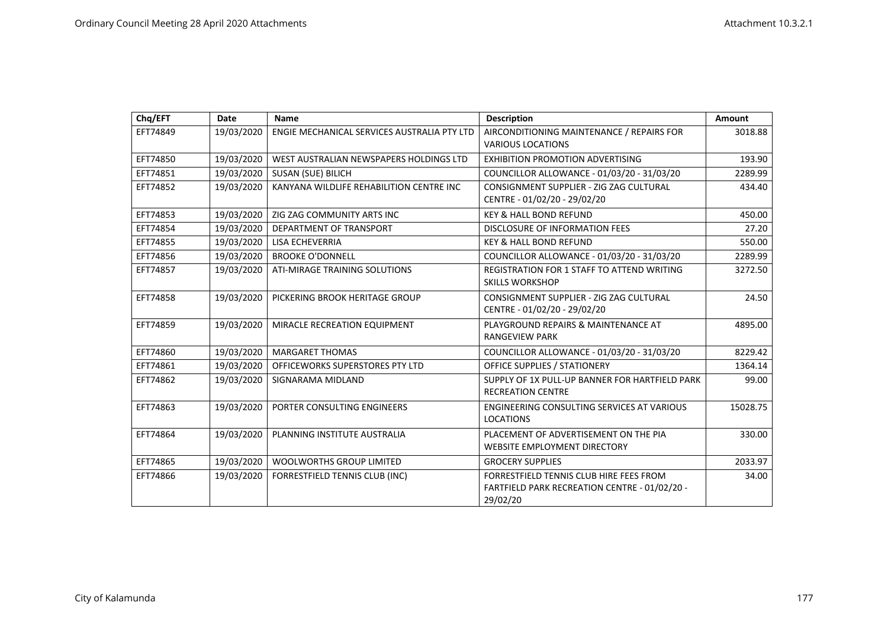| Chq/EFT  | Date       | <b>Name</b>                                 | <b>Description</b>                                                                                   | Amount   |
|----------|------------|---------------------------------------------|------------------------------------------------------------------------------------------------------|----------|
| EFT74849 | 19/03/2020 | ENGIE MECHANICAL SERVICES AUSTRALIA PTY LTD | AIRCONDITIONING MAINTENANCE / REPAIRS FOR<br><b>VARIOUS LOCATIONS</b>                                | 3018.88  |
| EFT74850 | 19/03/2020 | WEST AUSTRALIAN NEWSPAPERS HOLDINGS LTD     | <b>EXHIBITION PROMOTION ADVERTISING</b>                                                              | 193.90   |
| EFT74851 | 19/03/2020 | SUSAN (SUE) BILICH                          | COUNCILLOR ALLOWANCE - 01/03/20 - 31/03/20                                                           | 2289.99  |
| EFT74852 | 19/03/2020 | KANYANA WILDLIFE REHABILITION CENTRE INC    | CONSIGNMENT SUPPLIER - ZIG ZAG CULTURAL<br>CENTRE - 01/02/20 - 29/02/20                              | 434.40   |
| EFT74853 | 19/03/2020 | ZIG ZAG COMMUNITY ARTS INC                  | <b>KEY &amp; HALL BOND REFUND</b>                                                                    | 450.00   |
| EFT74854 | 19/03/2020 | DEPARTMENT OF TRANSPORT                     | <b>DISCLOSURE OF INFORMATION FEES</b>                                                                | 27.20    |
| EFT74855 | 19/03/2020 | LISA ECHEVERRIA                             | <b>KEY &amp; HALL BOND REFUND</b>                                                                    | 550.00   |
| EFT74856 | 19/03/2020 | <b>BROOKE O'DONNELL</b>                     | COUNCILLOR ALLOWANCE - 01/03/20 - 31/03/20                                                           | 2289.99  |
| EFT74857 | 19/03/2020 | ATI-MIRAGE TRAINING SOLUTIONS               | REGISTRATION FOR 1 STAFF TO ATTEND WRITING<br><b>SKILLS WORKSHOP</b>                                 | 3272.50  |
| EFT74858 | 19/03/2020 | PICKERING BROOK HERITAGE GROUP              | CONSIGNMENT SUPPLIER - ZIG ZAG CULTURAL<br>CENTRE - 01/02/20 - 29/02/20                              | 24.50    |
| EFT74859 | 19/03/2020 | MIRACLE RECREATION EQUIPMENT                | PLAYGROUND REPAIRS & MAINTENANCE AT<br><b>RANGEVIEW PARK</b>                                         | 4895.00  |
| EFT74860 | 19/03/2020 | <b>MARGARET THOMAS</b>                      | COUNCILLOR ALLOWANCE - 01/03/20 - 31/03/20                                                           | 8229.42  |
| EFT74861 | 19/03/2020 | OFFICEWORKS SUPERSTORES PTY LTD             | OFFICE SUPPLIES / STATIONERY                                                                         | 1364.14  |
| EFT74862 | 19/03/2020 | SIGNARAMA MIDLAND                           | SUPPLY OF 1X PULL-UP BANNER FOR HARTFIELD PARK<br><b>RECREATION CENTRE</b>                           | 99.00    |
| EFT74863 | 19/03/2020 | PORTER CONSULTING ENGINEERS                 | ENGINEERING CONSULTING SERVICES AT VARIOUS<br><b>LOCATIONS</b>                                       | 15028.75 |
| EFT74864 | 19/03/2020 | PLANNING INSTITUTE AUSTRALIA                | PLACEMENT OF ADVERTISEMENT ON THE PIA<br><b>WEBSITE EMPLOYMENT DIRECTORY</b>                         | 330.00   |
| EFT74865 | 19/03/2020 | <b>WOOLWORTHS GROUP LIMITED</b>             | <b>GROCERY SUPPLIES</b>                                                                              | 2033.97  |
| EFT74866 | 19/03/2020 | FORRESTFIELD TENNIS CLUB (INC)              | FORRESTFIELD TENNIS CLUB HIRE FEES FROM<br>FARTFIELD PARK RECREATION CENTRE - 01/02/20 -<br>29/02/20 | 34.00    |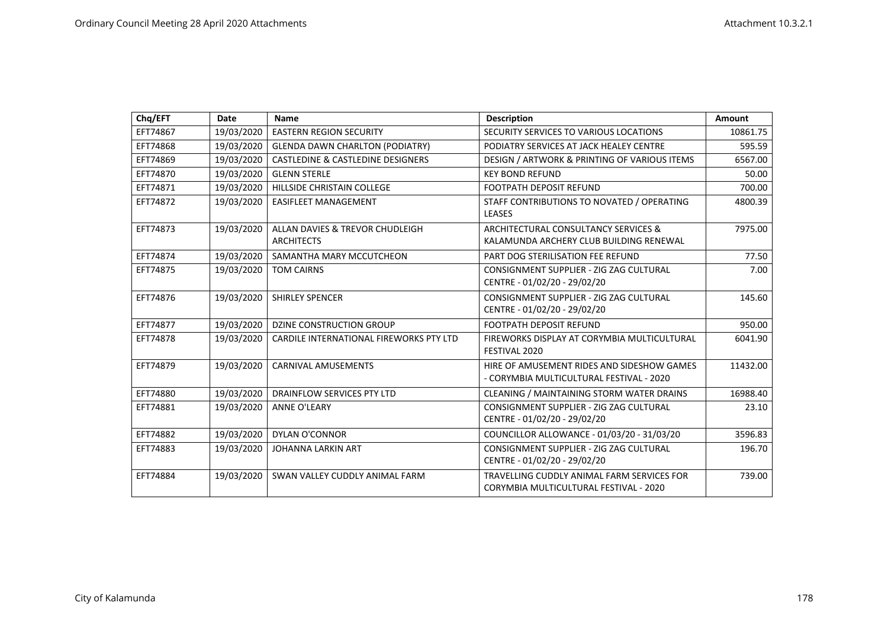| Chq/EFT  | Date       | <b>Name</b>                                          | <b>Description</b>                                                                     | Amount   |
|----------|------------|------------------------------------------------------|----------------------------------------------------------------------------------------|----------|
| EFT74867 | 19/03/2020 | <b>EASTERN REGION SECURITY</b>                       | SECURITY SERVICES TO VARIOUS LOCATIONS                                                 | 10861.75 |
| EFT74868 | 19/03/2020 | <b>GLENDA DAWN CHARLTON (PODIATRY)</b>               | PODIATRY SERVICES AT JACK HEALEY CENTRE                                                | 595.59   |
| EFT74869 | 19/03/2020 | <b>CASTLEDINE &amp; CASTLEDINE DESIGNERS</b>         | DESIGN / ARTWORK & PRINTING OF VARIOUS ITEMS                                           | 6567.00  |
| EFT74870 | 19/03/2020 | <b>GLENN STERLE</b>                                  | <b>KEY BOND REFUND</b>                                                                 | 50.00    |
| EFT74871 | 19/03/2020 | HILLSIDE CHRISTAIN COLLEGE                           | <b>FOOTPATH DEPOSIT REFUND</b>                                                         | 700.00   |
| EFT74872 | 19/03/2020 | <b>EASIFLEET MANAGEMENT</b>                          | STAFF CONTRIBUTIONS TO NOVATED / OPERATING<br><b>LEASES</b>                            | 4800.39  |
| EFT74873 | 19/03/2020 | ALLAN DAVIES & TREVOR CHUDLEIGH<br><b>ARCHITECTS</b> | ARCHITECTURAL CONSULTANCY SERVICES &<br>KALAMUNDA ARCHERY CLUB BUILDING RENEWAL        | 7975.00  |
| EFT74874 | 19/03/2020 | SAMANTHA MARY MCCUTCHEON                             | PART DOG STERILISATION FEE REFUND                                                      | 77.50    |
| EFT74875 | 19/03/2020 | <b>TOM CAIRNS</b>                                    | CONSIGNMENT SUPPLIER - ZIG ZAG CULTURAL<br>CENTRE - 01/02/20 - 29/02/20                | 7.00     |
| EFT74876 | 19/03/2020 | <b>SHIRLEY SPENCER</b>                               | CONSIGNMENT SUPPLIER - ZIG ZAG CULTURAL<br>CENTRE - 01/02/20 - 29/02/20                | 145.60   |
| EFT74877 | 19/03/2020 | <b>DZINE CONSTRUCTION GROUP</b>                      | <b>FOOTPATH DEPOSIT REFUND</b>                                                         | 950.00   |
| EFT74878 | 19/03/2020 | CARDILE INTERNATIONAL FIREWORKS PTY LTD              | FIREWORKS DISPLAY AT CORYMBIA MULTICULTURAL<br>FESTIVAL 2020                           | 6041.90  |
| EFT74879 | 19/03/2020 | <b>CARNIVAL AMUSEMENTS</b>                           | HIRE OF AMUSEMENT RIDES AND SIDESHOW GAMES<br>- CORYMBIA MULTICULTURAL FESTIVAL - 2020 | 11432.00 |
| EFT74880 | 19/03/2020 | DRAINFLOW SERVICES PTY LTD                           | CLEANING / MAINTAINING STORM WATER DRAINS                                              | 16988.40 |
| EFT74881 | 19/03/2020 | <b>ANNE O'LEARY</b>                                  | CONSIGNMENT SUPPLIER - ZIG ZAG CULTURAL<br>CENTRE - 01/02/20 - 29/02/20                | 23.10    |
| EFT74882 | 19/03/2020 | <b>DYLAN O'CONNOR</b>                                | COUNCILLOR ALLOWANCE - 01/03/20 - 31/03/20                                             | 3596.83  |
| EFT74883 | 19/03/2020 | <b>JOHANNA LARKIN ART</b>                            | CONSIGNMENT SUPPLIER - ZIG ZAG CULTURAL<br>CENTRE - 01/02/20 - 29/02/20                | 196.70   |
| EFT74884 | 19/03/2020 | SWAN VALLEY CUDDLY ANIMAL FARM                       | TRAVELLING CUDDLY ANIMAL FARM SERVICES FOR<br>CORYMBIA MULTICULTURAL FESTIVAL - 2020   | 739.00   |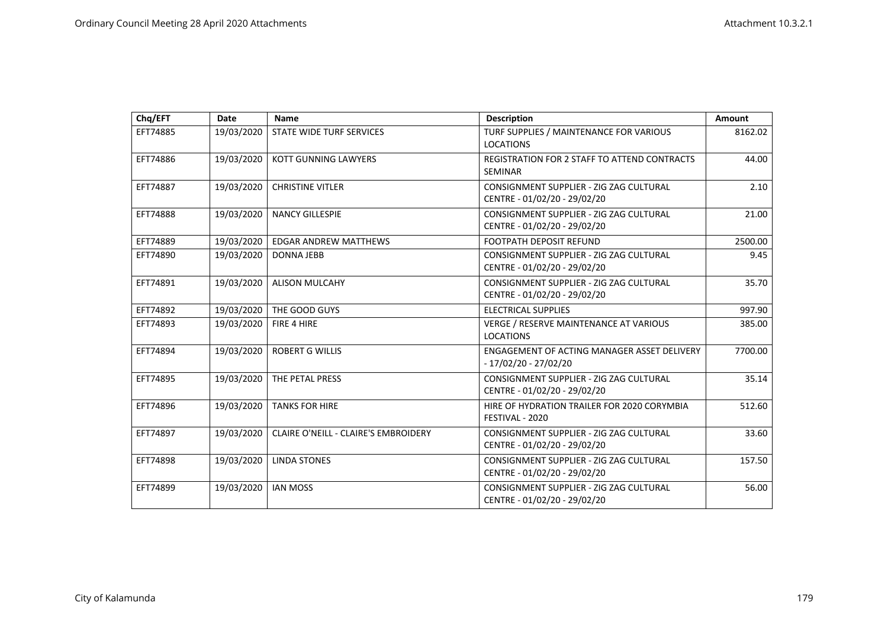| Chq/EFT  | Date       | <b>Name</b>                                 | <b>Description</b>                                                      | Amount  |
|----------|------------|---------------------------------------------|-------------------------------------------------------------------------|---------|
| EFT74885 | 19/03/2020 | STATE WIDE TURF SERVICES                    | TURF SUPPLIES / MAINTENANCE FOR VARIOUS<br><b>LOCATIONS</b>             | 8162.02 |
| EFT74886 | 19/03/2020 | <b>KOTT GUNNING LAWYERS</b>                 | REGISTRATION FOR 2 STAFF TO ATTEND CONTRACTS<br><b>SEMINAR</b>          | 44.00   |
| EFT74887 | 19/03/2020 | <b>CHRISTINE VITLER</b>                     | CONSIGNMENT SUPPLIER - ZIG ZAG CULTURAL<br>CENTRE - 01/02/20 - 29/02/20 | 2.10    |
| EFT74888 | 19/03/2020 | <b>NANCY GILLESPIE</b>                      | CONSIGNMENT SUPPLIER - ZIG ZAG CULTURAL<br>CENTRE - 01/02/20 - 29/02/20 | 21.00   |
| EFT74889 | 19/03/2020 | <b>EDGAR ANDREW MATTHEWS</b>                | <b>FOOTPATH DEPOSIT REFUND</b>                                          | 2500.00 |
| EFT74890 | 19/03/2020 | <b>DONNA JEBB</b>                           | CONSIGNMENT SUPPLIER - ZIG ZAG CULTURAL<br>CENTRE - 01/02/20 - 29/02/20 | 9.45    |
| EFT74891 | 19/03/2020 | <b>ALISON MULCAHY</b>                       | CONSIGNMENT SUPPLIER - ZIG ZAG CULTURAL<br>CENTRE - 01/02/20 - 29/02/20 | 35.70   |
| EFT74892 | 19/03/2020 | THE GOOD GUYS                               | <b>ELECTRICAL SUPPLIES</b>                                              | 997.90  |
| EFT74893 | 19/03/2020 | FIRE 4 HIRE                                 | VERGE / RESERVE MAINTENANCE AT VARIOUS<br><b>LOCATIONS</b>              | 385.00  |
| EFT74894 | 19/03/2020 | <b>ROBERT G WILLIS</b>                      | ENGAGEMENT OF ACTING MANAGER ASSET DELIVERY<br>- 17/02/20 - 27/02/20    | 7700.00 |
| EFT74895 | 19/03/2020 | THE PETAL PRESS                             | CONSIGNMENT SUPPLIER - ZIG ZAG CULTURAL<br>CENTRE - 01/02/20 - 29/02/20 | 35.14   |
| EFT74896 | 19/03/2020 | <b>TANKS FOR HIRE</b>                       | HIRE OF HYDRATION TRAILER FOR 2020 CORYMBIA<br>FESTIVAL - 2020          | 512.60  |
| EFT74897 | 19/03/2020 | <b>CLAIRE O'NEILL - CLAIRE'S EMBROIDERY</b> | CONSIGNMENT SUPPLIER - ZIG ZAG CULTURAL<br>CENTRE - 01/02/20 - 29/02/20 | 33.60   |
| EFT74898 | 19/03/2020 | <b>LINDA STONES</b>                         | CONSIGNMENT SUPPLIER - ZIG ZAG CULTURAL<br>CENTRE - 01/02/20 - 29/02/20 | 157.50  |
| EFT74899 | 19/03/2020 | <b>IAN MOSS</b>                             | CONSIGNMENT SUPPLIER - ZIG ZAG CULTURAL<br>CENTRE - 01/02/20 - 29/02/20 | 56.00   |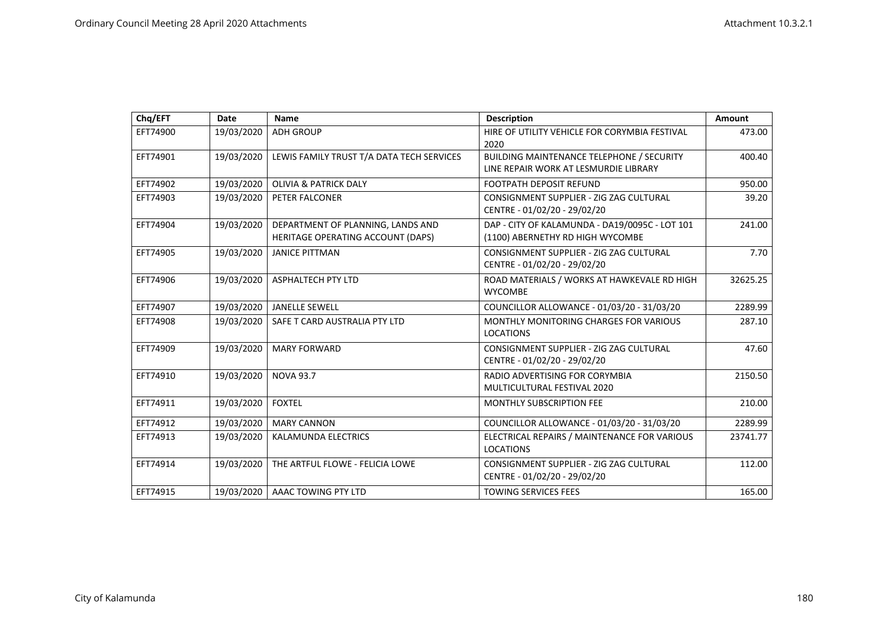| Chq/EFT  | Date       | Name                                                                   | <b>Description</b>                                                                 | Amount   |
|----------|------------|------------------------------------------------------------------------|------------------------------------------------------------------------------------|----------|
| EFT74900 | 19/03/2020 | <b>ADH GROUP</b>                                                       | HIRE OF UTILITY VEHICLE FOR CORYMBIA FESTIVAL<br>2020                              | 473.00   |
| EFT74901 | 19/03/2020 | LEWIS FAMILY TRUST T/A DATA TECH SERVICES                              | BUILDING MAINTENANCE TELEPHONE / SECURITY<br>LINE REPAIR WORK AT LESMURDIE LIBRARY | 400.40   |
| EFT74902 | 19/03/2020 | <b>OLIVIA &amp; PATRICK DALY</b>                                       | <b>FOOTPATH DEPOSIT REFUND</b>                                                     | 950.00   |
| EFT74903 | 19/03/2020 | PETER FALCONER                                                         | CONSIGNMENT SUPPLIER - ZIG ZAG CULTURAL<br>CENTRE - 01/02/20 - 29/02/20            | 39.20    |
| EFT74904 | 19/03/2020 | DEPARTMENT OF PLANNING, LANDS AND<br>HERITAGE OPERATING ACCOUNT (DAPS) | DAP - CITY OF KALAMUNDA - DA19/0095C - LOT 101<br>(1100) ABERNETHY RD HIGH WYCOMBE | 241.00   |
| EFT74905 | 19/03/2020 | <b>JANICE PITTMAN</b>                                                  | CONSIGNMENT SUPPLIER - ZIG ZAG CULTURAL<br>CENTRE - 01/02/20 - 29/02/20            | 7.70     |
| EFT74906 | 19/03/2020 | <b>ASPHALTECH PTY LTD</b>                                              | ROAD MATERIALS / WORKS AT HAWKEVALE RD HIGH<br><b>WYCOMBE</b>                      | 32625.25 |
| EFT74907 | 19/03/2020 | <b>JANELLE SEWELL</b>                                                  | COUNCILLOR ALLOWANCE - 01/03/20 - 31/03/20                                         | 2289.99  |
| EFT74908 | 19/03/2020 | SAFE T CARD AUSTRALIA PTY LTD                                          | <b>MONTHLY MONITORING CHARGES FOR VARIOUS</b><br><b>LOCATIONS</b>                  | 287.10   |
| EFT74909 | 19/03/2020 | <b>MARY FORWARD</b>                                                    | CONSIGNMENT SUPPLIER - ZIG ZAG CULTURAL<br>CENTRE - 01/02/20 - 29/02/20            | 47.60    |
| EFT74910 | 19/03/2020 | <b>NOVA 93.7</b>                                                       | RADIO ADVERTISING FOR CORYMBIA<br>MULTICULTURAL FESTIVAL 2020                      | 2150.50  |
| EFT74911 | 19/03/2020 | <b>FOXTEL</b>                                                          | <b>MONTHLY SUBSCRIPTION FEE</b>                                                    | 210.00   |
| EFT74912 | 19/03/2020 | <b>MARY CANNON</b>                                                     | COUNCILLOR ALLOWANCE - 01/03/20 - 31/03/20                                         | 2289.99  |
| EFT74913 | 19/03/2020 | <b>KALAMUNDA ELECTRICS</b>                                             | ELECTRICAL REPAIRS / MAINTENANCE FOR VARIOUS<br><b>LOCATIONS</b>                   | 23741.77 |
| EFT74914 | 19/03/2020 | THE ARTFUL FLOWE - FELICIA LOWE                                        | CONSIGNMENT SUPPLIER - ZIG ZAG CULTURAL<br>CENTRE - 01/02/20 - 29/02/20            | 112.00   |
| EFT74915 | 19/03/2020 | AAAC TOWING PTY LTD                                                    | <b>TOWING SERVICES FEES</b>                                                        | 165.00   |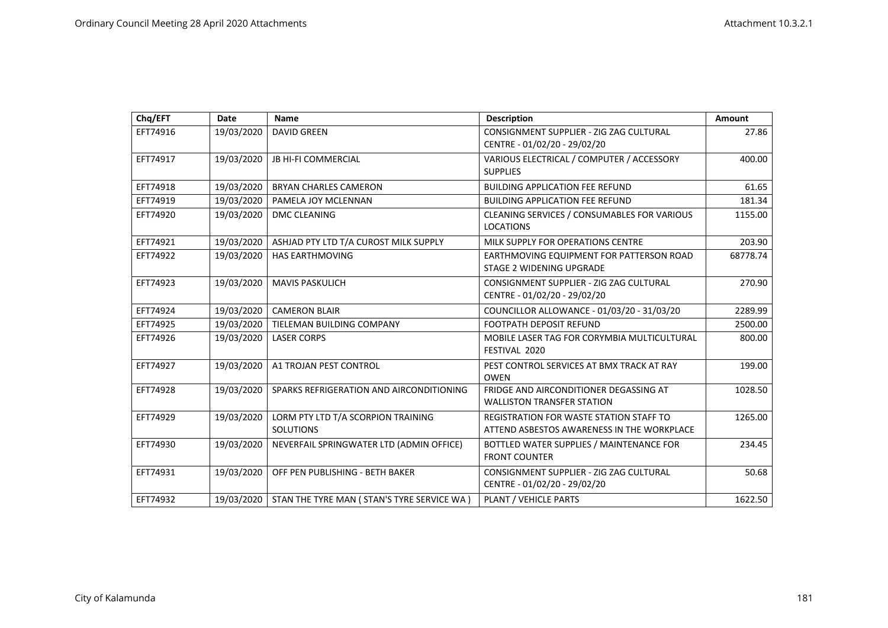| Chq/EFT  | Date       | <b>Name</b>                                            | <b>Description</b>                                                                           | Amount   |
|----------|------------|--------------------------------------------------------|----------------------------------------------------------------------------------------------|----------|
| EFT74916 | 19/03/2020 | <b>DAVID GREEN</b>                                     | CONSIGNMENT SUPPLIER - ZIG ZAG CULTURAL<br>CENTRE - 01/02/20 - 29/02/20                      | 27.86    |
| EFT74917 | 19/03/2020 | <b>JB HI-FI COMMERCIAL</b>                             | VARIOUS ELECTRICAL / COMPUTER / ACCESSORY<br><b>SUPPLIES</b>                                 | 400.00   |
| EFT74918 | 19/03/2020 | <b>BRYAN CHARLES CAMERON</b>                           | <b>BUILDING APPLICATION FEE REFUND</b>                                                       | 61.65    |
| EFT74919 | 19/03/2020 | PAMELA JOY MCLENNAN                                    | <b>BUILDING APPLICATION FEE REFUND</b>                                                       | 181.34   |
| EFT74920 | 19/03/2020 | <b>DMC CLEANING</b>                                    | CLEANING SERVICES / CONSUMABLES FOR VARIOUS<br><b>LOCATIONS</b>                              | 1155.00  |
| EFT74921 | 19/03/2020 | ASHJAD PTY LTD T/A CUROST MILK SUPPLY                  | MILK SUPPLY FOR OPERATIONS CENTRE                                                            | 203.90   |
| EFT74922 | 19/03/2020 | <b>HAS EARTHMOVING</b>                                 | EARTHMOVING EQUIPMENT FOR PATTERSON ROAD<br>STAGE 2 WIDENING UPGRADE                         | 68778.74 |
| EFT74923 | 19/03/2020 | <b>MAVIS PASKULICH</b>                                 | CONSIGNMENT SUPPLIER - ZIG ZAG CULTURAL<br>CENTRE - 01/02/20 - 29/02/20                      | 270.90   |
| EFT74924 | 19/03/2020 | <b>CAMERON BLAIR</b>                                   | COUNCILLOR ALLOWANCE - 01/03/20 - 31/03/20                                                   | 2289.99  |
| EFT74925 | 19/03/2020 | TIELEMAN BUILDING COMPANY                              | <b>FOOTPATH DEPOSIT REFUND</b>                                                               | 2500.00  |
| EFT74926 | 19/03/2020 | <b>LASER CORPS</b>                                     | MOBILE LASER TAG FOR CORYMBIA MULTICULTURAL<br>FESTIVAL 2020                                 | 800.00   |
| EFT74927 | 19/03/2020 | A1 TROJAN PEST CONTROL                                 | PEST CONTROL SERVICES AT BMX TRACK AT RAY<br><b>OWEN</b>                                     | 199.00   |
| EFT74928 | 19/03/2020 | SPARKS REFRIGERATION AND AIRCONDITIONING               | FRIDGE AND AIRCONDITIONER DEGASSING AT<br><b>WALLISTON TRANSFER STATION</b>                  | 1028.50  |
| EFT74929 | 19/03/2020 | LORM PTY LTD T/A SCORPION TRAINING<br><b>SOLUTIONS</b> | <b>REGISTRATION FOR WASTE STATION STAFF TO</b><br>ATTEND ASBESTOS AWARENESS IN THE WORKPLACE | 1265.00  |
| EFT74930 | 19/03/2020 | NEVERFAIL SPRINGWATER LTD (ADMIN OFFICE)               | BOTTLED WATER SUPPLIES / MAINTENANCE FOR<br><b>FRONT COUNTER</b>                             | 234.45   |
| EFT74931 | 19/03/2020 | OFF PEN PUBLISHING - BETH BAKER                        | CONSIGNMENT SUPPLIER - ZIG ZAG CULTURAL<br>CENTRE - 01/02/20 - 29/02/20                      | 50.68    |
| EFT74932 | 19/03/2020 | STAN THE TYRE MAN ( STAN'S TYRE SERVICE WA )           | PLANT / VEHICLE PARTS                                                                        | 1622.50  |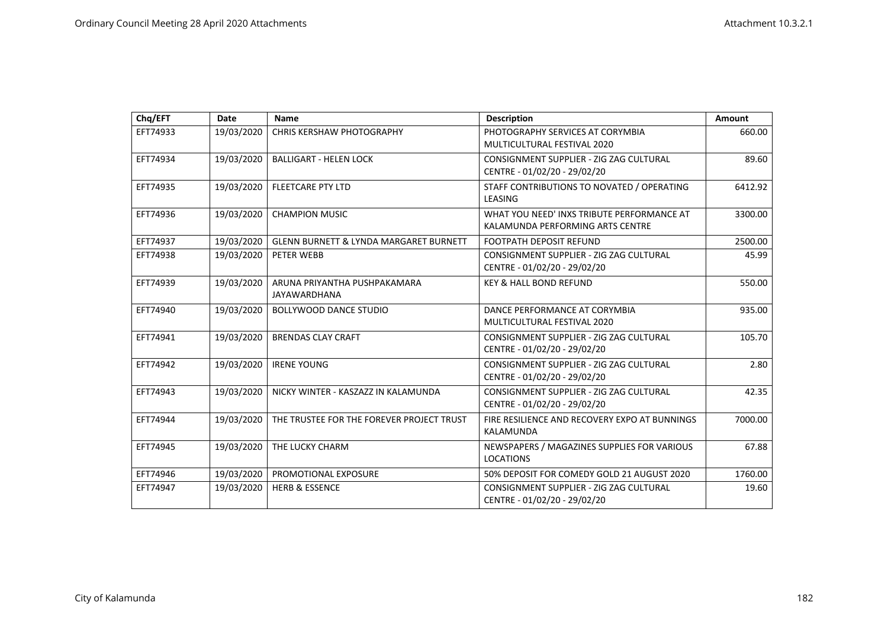| Chq/EFT  | Date       | <b>Name</b>                                       | <b>Description</b>                                                             | Amount  |
|----------|------------|---------------------------------------------------|--------------------------------------------------------------------------------|---------|
| EFT74933 | 19/03/2020 | CHRIS KERSHAW PHOTOGRAPHY                         | PHOTOGRAPHY SERVICES AT CORYMBIA<br>MULTICULTURAL FESTIVAL 2020                | 660.00  |
| EFT74934 | 19/03/2020 | <b>BALLIGART - HELEN LOCK</b>                     | CONSIGNMENT SUPPLIER - ZIG ZAG CULTURAL<br>CENTRE - 01/02/20 - 29/02/20        | 89.60   |
| EFT74935 | 19/03/2020 | <b>FLEETCARE PTY LTD</b>                          | STAFF CONTRIBUTIONS TO NOVATED / OPERATING<br>LEASING                          | 6412.92 |
| EFT74936 | 19/03/2020 | <b>CHAMPION MUSIC</b>                             | WHAT YOU NEED' INXS TRIBUTE PERFORMANCE AT<br>KALAMUNDA PERFORMING ARTS CENTRE | 3300.00 |
| EFT74937 | 19/03/2020 | <b>GLENN BURNETT &amp; LYNDA MARGARET BURNETT</b> | <b>FOOTPATH DEPOSIT REFUND</b>                                                 | 2500.00 |
| EFT74938 | 19/03/2020 | PETER WEBB                                        | CONSIGNMENT SUPPLIER - ZIG ZAG CULTURAL<br>CENTRE - 01/02/20 - 29/02/20        | 45.99   |
| EFT74939 | 19/03/2020 | ARUNA PRIYANTHA PUSHPAKAMARA<br>JAYAWARDHANA      | <b>KEY &amp; HALL BOND REFUND</b>                                              | 550.00  |
| EFT74940 | 19/03/2020 | <b>BOLLYWOOD DANCE STUDIO</b>                     | DANCE PERFORMANCE AT CORYMBIA<br>MULTICULTURAL FESTIVAL 2020                   | 935.00  |
| EFT74941 | 19/03/2020 | <b>BRENDAS CLAY CRAFT</b>                         | CONSIGNMENT SUPPLIER - ZIG ZAG CULTURAL<br>CENTRE - 01/02/20 - 29/02/20        | 105.70  |
| EFT74942 | 19/03/2020 | <b>IRENE YOUNG</b>                                | CONSIGNMENT SUPPLIER - ZIG ZAG CULTURAL<br>CENTRE - 01/02/20 - 29/02/20        | 2.80    |
| EFT74943 | 19/03/2020 | NICKY WINTER - KASZAZZ IN KALAMUNDA               | CONSIGNMENT SUPPLIER - ZIG ZAG CULTURAL<br>CENTRE - 01/02/20 - 29/02/20        | 42.35   |
| EFT74944 | 19/03/2020 | THE TRUSTEE FOR THE FOREVER PROJECT TRUST         | FIRE RESILIENCE AND RECOVERY EXPO AT BUNNINGS<br>KALAMUNDA                     | 7000.00 |
| EFT74945 | 19/03/2020 | THE LUCKY CHARM                                   | NEWSPAPERS / MAGAZINES SUPPLIES FOR VARIOUS<br><b>LOCATIONS</b>                | 67.88   |
| EFT74946 | 19/03/2020 | PROMOTIONAL EXPOSURE                              | 50% DEPOSIT FOR COMEDY GOLD 21 AUGUST 2020                                     | 1760.00 |
| EFT74947 | 19/03/2020 | <b>HERB &amp; ESSENCE</b>                         | CONSIGNMENT SUPPLIER - ZIG ZAG CULTURAL<br>CENTRE - 01/02/20 - 29/02/20        | 19.60   |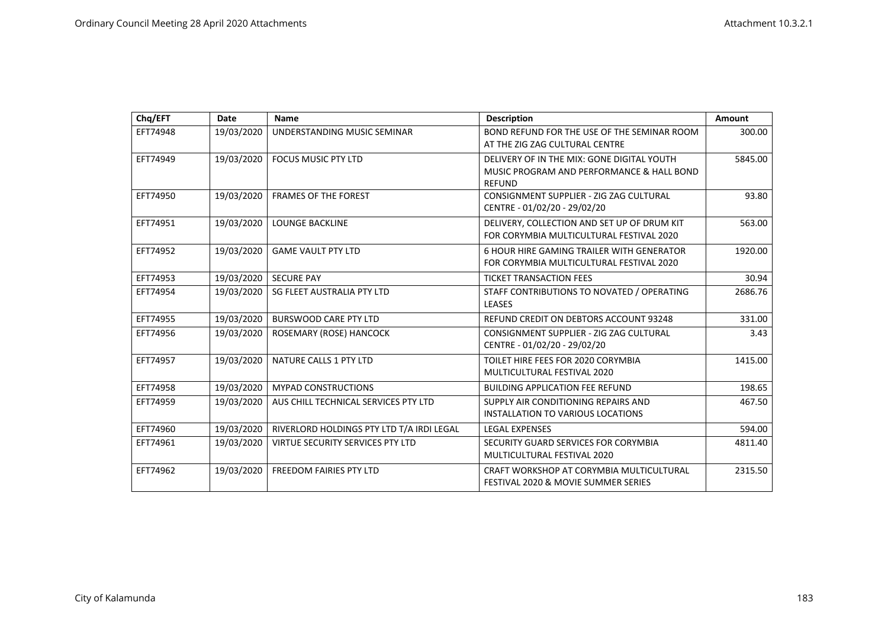| Chq/EFT  | <b>Date</b> | <b>Name</b>                               | <b>Description</b>                                                                                       | Amount  |
|----------|-------------|-------------------------------------------|----------------------------------------------------------------------------------------------------------|---------|
| EFT74948 | 19/03/2020  | UNDERSTANDING MUSIC SEMINAR               | BOND REFUND FOR THE USE OF THE SEMINAR ROOM<br>AT THE ZIG ZAG CULTURAL CENTRE                            | 300.00  |
| EFT74949 | 19/03/2020  | FOCUS MUSIC PTY LTD                       | DELIVERY OF IN THE MIX: GONE DIGITAL YOUTH<br>MUSIC PROGRAM AND PERFORMANCE & HALL BOND<br><b>REFUND</b> | 5845.00 |
| EFT74950 | 19/03/2020  | <b>FRAMES OF THE FOREST</b>               | CONSIGNMENT SUPPLIER - ZIG ZAG CULTURAL<br>CENTRE - 01/02/20 - 29/02/20                                  | 93.80   |
| EFT74951 | 19/03/2020  | <b>LOUNGE BACKLINE</b>                    | DELIVERY, COLLECTION AND SET UP OF DRUM KIT<br>FOR CORYMBIA MULTICULTURAL FESTIVAL 2020                  | 563.00  |
| EFT74952 | 19/03/2020  | <b>GAME VAULT PTY LTD</b>                 | 6 HOUR HIRE GAMING TRAILER WITH GENERATOR<br>FOR CORYMBIA MULTICULTURAL FESTIVAL 2020                    | 1920.00 |
| EFT74953 | 19/03/2020  | <b>SECURE PAY</b>                         | <b>TICKET TRANSACTION FEES</b>                                                                           | 30.94   |
| EFT74954 | 19/03/2020  | SG FLEET AUSTRALIA PTY LTD                | STAFF CONTRIBUTIONS TO NOVATED / OPERATING<br><b>LEASES</b>                                              | 2686.76 |
| EFT74955 | 19/03/2020  | <b>BURSWOOD CARE PTY LTD</b>              | REFUND CREDIT ON DEBTORS ACCOUNT 93248                                                                   | 331.00  |
| EFT74956 | 19/03/2020  | ROSEMARY (ROSE) HANCOCK                   | CONSIGNMENT SUPPLIER - ZIG ZAG CULTURAL<br>CENTRE - 01/02/20 - 29/02/20                                  | 3.43    |
| EFT74957 | 19/03/2020  | NATURE CALLS 1 PTY LTD                    | TOILET HIRE FEES FOR 2020 CORYMBIA<br>MULTICULTURAL FESTIVAL 2020                                        | 1415.00 |
| EFT74958 | 19/03/2020  | <b>MYPAD CONSTRUCTIONS</b>                | <b>BUILDING APPLICATION FEE REFUND</b>                                                                   | 198.65  |
| EFT74959 | 19/03/2020  | AUS CHILL TECHNICAL SERVICES PTY LTD      | SUPPLY AIR CONDITIONING REPAIRS AND<br>INSTALLATION TO VARIOUS LOCATIONS                                 | 467.50  |
| EFT74960 | 19/03/2020  | RIVERLORD HOLDINGS PTY LTD T/A IRDI LEGAL | <b>LEGAL EXPENSES</b>                                                                                    | 594.00  |
| EFT74961 | 19/03/2020  | VIRTUE SECURITY SERVICES PTY LTD          | SECURITY GUARD SERVICES FOR CORYMBIA<br>MULTICULTURAL FESTIVAL 2020                                      | 4811.40 |
| EFT74962 | 19/03/2020  | <b>FREEDOM FAIRIES PTY LTD</b>            | CRAFT WORKSHOP AT CORYMBIA MULTICULTURAL<br>FESTIVAL 2020 & MOVIE SUMMER SERIES                          | 2315.50 |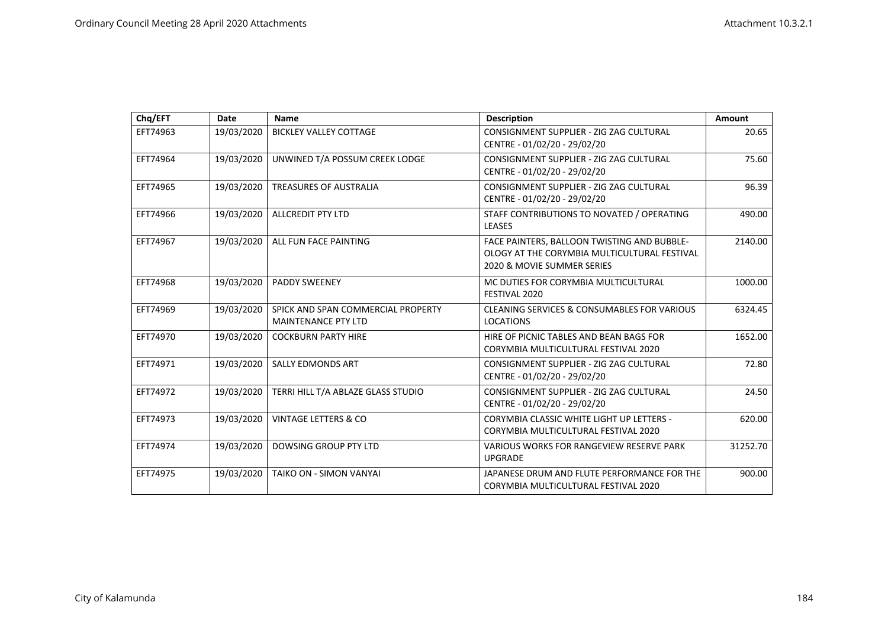| Chg/EFT  | Date       | <b>Name</b>                                                      | <b>Description</b>                                                                                                        | Amount   |
|----------|------------|------------------------------------------------------------------|---------------------------------------------------------------------------------------------------------------------------|----------|
| EFT74963 | 19/03/2020 | <b>BICKLEY VALLEY COTTAGE</b>                                    | CONSIGNMENT SUPPLIER - ZIG ZAG CULTURAL<br>CENTRE - 01/02/20 - 29/02/20                                                   | 20.65    |
| EFT74964 | 19/03/2020 | UNWINED T/A POSSUM CREEK LODGE                                   | CONSIGNMENT SUPPLIER - ZIG ZAG CULTURAL<br>CENTRE - 01/02/20 - 29/02/20                                                   | 75.60    |
| EFT74965 | 19/03/2020 | TREASURES OF AUSTRALIA                                           | CONSIGNMENT SUPPLIER - ZIG ZAG CULTURAL<br>CENTRE - 01/02/20 - 29/02/20                                                   | 96.39    |
| EFT74966 | 19/03/2020 | <b>ALLCREDIT PTY LTD</b>                                         | STAFF CONTRIBUTIONS TO NOVATED / OPERATING<br><b>LEASES</b>                                                               | 490.00   |
| EFT74967 | 19/03/2020 | ALL FUN FACE PAINTING                                            | FACE PAINTERS, BALLOON TWISTING AND BUBBLE-<br>OLOGY AT THE CORYMBIA MULTICULTURAL FESTIVAL<br>2020 & MOVIE SUMMER SERIES | 2140.00  |
| EFT74968 | 19/03/2020 | <b>PADDY SWEENEY</b>                                             | MC DUTIES FOR CORYMBIA MULTICULTURAL<br>FESTIVAL 2020                                                                     | 1000.00  |
| EFT74969 | 19/03/2020 | SPICK AND SPAN COMMERCIAL PROPERTY<br><b>MAINTENANCE PTY LTD</b> | <b>CLEANING SERVICES &amp; CONSUMABLES FOR VARIOUS</b><br><b>LOCATIONS</b>                                                | 6324.45  |
| EFT74970 | 19/03/2020 | <b>COCKBURN PARTY HIRE</b>                                       | HIRE OF PICNIC TABLES AND BEAN BAGS FOR<br>CORYMBIA MULTICULTURAL FESTIVAL 2020                                           | 1652.00  |
| EFT74971 | 19/03/2020 | <b>SALLY EDMONDS ART</b>                                         | CONSIGNMENT SUPPLIER - ZIG ZAG CULTURAL<br>CENTRE - 01/02/20 - 29/02/20                                                   | 72.80    |
| EFT74972 | 19/03/2020 | TERRI HILL T/A ABLAZE GLASS STUDIO                               | CONSIGNMENT SUPPLIER - ZIG ZAG CULTURAL<br>CENTRE - 01/02/20 - 29/02/20                                                   | 24.50    |
| EFT74973 | 19/03/2020 | <b>VINTAGE LETTERS &amp; CO</b>                                  | <b>CORYMBIA CLASSIC WHITE LIGHT UP LETTERS -</b><br>CORYMBIA MULTICULTURAL FESTIVAL 2020                                  | 620.00   |
| EFT74974 | 19/03/2020 | DOWSING GROUP PTY LTD                                            | <b>VARIOUS WORKS FOR RANGEVIEW RESERVE PARK</b><br><b>UPGRADE</b>                                                         | 31252.70 |
| EFT74975 | 19/03/2020 | TAIKO ON - SIMON VANYAI                                          | JAPANESE DRUM AND FLUTE PERFORMANCE FOR THE<br>CORYMBIA MULTICULTURAL FESTIVAL 2020                                       | 900.00   |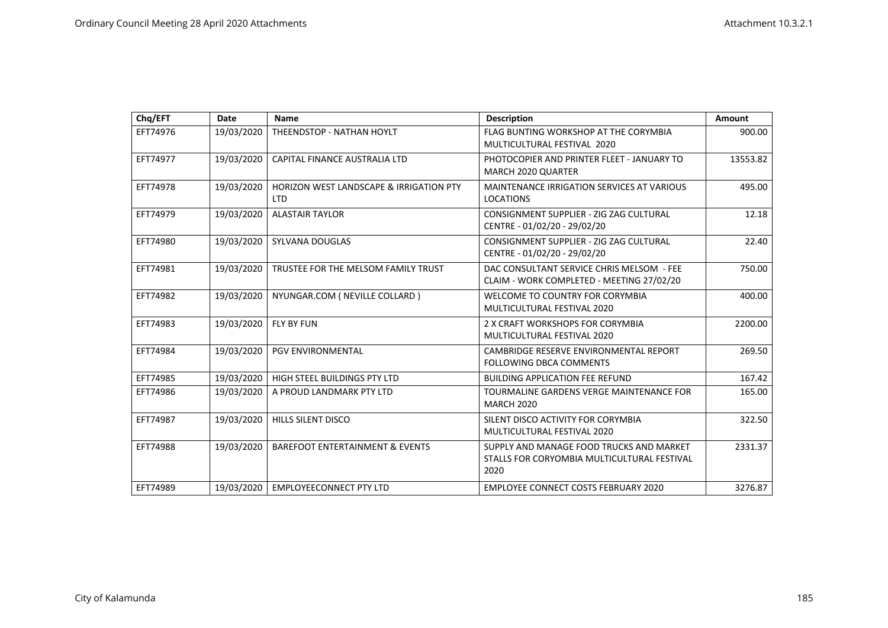| Chq/EFT  | Date       | <b>Name</b>                                                      | <b>Description</b>                                                                              | Amount   |
|----------|------------|------------------------------------------------------------------|-------------------------------------------------------------------------------------------------|----------|
| EFT74976 | 19/03/2020 | THEENDSTOP - NATHAN HOYLT                                        | FLAG BUNTING WORKSHOP AT THE CORYMBIA<br>MULTICULTURAL FESTIVAL 2020                            | 900.00   |
| EFT74977 | 19/03/2020 | CAPITAL FINANCE AUSTRALIA LTD                                    | PHOTOCOPIER AND PRINTER FLEET - JANUARY TO<br><b>MARCH 2020 QUARTER</b>                         | 13553.82 |
| EFT74978 | 19/03/2020 | <b>HORIZON WEST LANDSCAPE &amp; IRRIGATION PTY</b><br><b>LTD</b> | <b>MAINTENANCE IRRIGATION SERVICES AT VARIOUS</b><br><b>LOCATIONS</b>                           | 495.00   |
| EFT74979 | 19/03/2020 | <b>ALASTAIR TAYLOR</b>                                           | CONSIGNMENT SUPPLIER - ZIG ZAG CULTURAL<br>CENTRE - 01/02/20 - 29/02/20                         | 12.18    |
| EFT74980 | 19/03/2020 | SYLVANA DOUGLAS                                                  | CONSIGNMENT SUPPLIER - ZIG ZAG CULTURAL<br>CENTRE - 01/02/20 - 29/02/20                         | 22.40    |
| EFT74981 | 19/03/2020 | TRUSTEE FOR THE MELSOM FAMILY TRUST                              | DAC CONSULTANT SERVICE CHRIS MELSOM - FEE<br>CLAIM - WORK COMPLETED - MEETING 27/02/20          | 750.00   |
| EFT74982 | 19/03/2020 | NYUNGAR.COM ( NEVILLE COLLARD )                                  | WELCOME TO COUNTRY FOR CORYMBIA<br>MULTICULTURAL FESTIVAL 2020                                  | 400.00   |
| EFT74983 | 19/03/2020 | <b>FLY BY FUN</b>                                                | 2 X CRAFT WORKSHOPS FOR CORYMBIA<br>MULTICULTURAL FESTIVAL 2020                                 | 2200.00  |
| EFT74984 | 19/03/2020 | <b>PGV ENVIRONMENTAL</b>                                         | CAMBRIDGE RESERVE ENVIRONMENTAL REPORT<br><b>FOLLOWING DBCA COMMENTS</b>                        | 269.50   |
| EFT74985 | 19/03/2020 | HIGH STEEL BUILDINGS PTY LTD                                     | <b>BUILDING APPLICATION FEE REFUND</b>                                                          | 167.42   |
| EFT74986 | 19/03/2020 | A PROUD LANDMARK PTY LTD                                         | TOURMALINE GARDENS VERGE MAINTENANCE FOR<br><b>MARCH 2020</b>                                   | 165.00   |
| EFT74987 | 19/03/2020 | <b>HILLS SILENT DISCO</b>                                        | SILENT DISCO ACTIVITY FOR CORYMBIA<br>MULTICULTURAL FESTIVAL 2020                               | 322.50   |
| EFT74988 | 19/03/2020 | <b>BAREFOOT ENTERTAINMENT &amp; EVENTS</b>                       | SUPPLY AND MANAGE FOOD TRUCKS AND MARKET<br>STALLS FOR CORYOMBIA MULTICULTURAL FESTIVAL<br>2020 | 2331.37  |
| EFT74989 | 19/03/2020 | <b>EMPLOYEECONNECT PTY LTD</b>                                   | <b>EMPLOYEE CONNECT COSTS FEBRUARY 2020</b>                                                     | 3276.87  |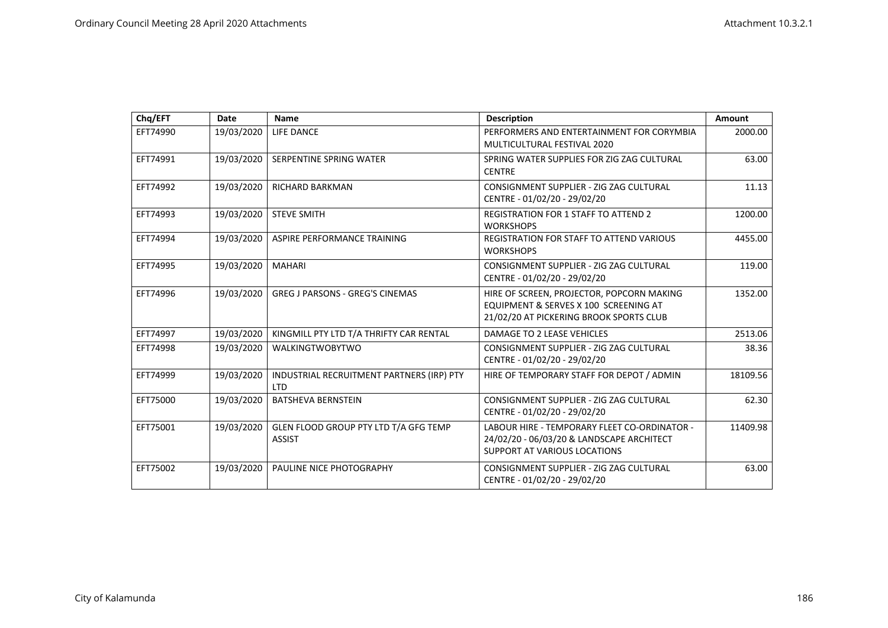| Chq/EFT  | Date       | <b>Name</b>                                             | <b>Description</b>                                                                                                               | Amount   |
|----------|------------|---------------------------------------------------------|----------------------------------------------------------------------------------------------------------------------------------|----------|
| EFT74990 | 19/03/2020 | LIFE DANCE                                              | PERFORMERS AND ENTERTAINMENT FOR CORYMBIA<br>MULTICULTURAL FESTIVAL 2020                                                         | 2000.00  |
| EFT74991 | 19/03/2020 | SERPENTINE SPRING WATER                                 | SPRING WATER SUPPLIES FOR ZIG ZAG CULTURAL<br><b>CENTRE</b>                                                                      | 63.00    |
| EFT74992 | 19/03/2020 | <b>RICHARD BARKMAN</b>                                  | CONSIGNMENT SUPPLIER - ZIG ZAG CULTURAL<br>CENTRE - 01/02/20 - 29/02/20                                                          | 11.13    |
| EFT74993 | 19/03/2020 | <b>STEVE SMITH</b>                                      | <b>REGISTRATION FOR 1 STAFF TO ATTEND 2</b><br><b>WORKSHOPS</b>                                                                  | 1200.00  |
| EFT74994 | 19/03/2020 | ASPIRE PERFORMANCE TRAINING                             | <b>REGISTRATION FOR STAFF TO ATTEND VARIOUS</b><br><b>WORKSHOPS</b>                                                              | 4455.00  |
| EFT74995 | 19/03/2020 | <b>MAHARI</b>                                           | CONSIGNMENT SUPPLIER - ZIG ZAG CULTURAL<br>CENTRE - 01/02/20 - 29/02/20                                                          | 119.00   |
| EFT74996 | 19/03/2020 | <b>GREG J PARSONS - GREG'S CINEMAS</b>                  | HIRE OF SCREEN, PROJECTOR, POPCORN MAKING<br>EQUIPMENT & SERVES X 100 SCREENING AT<br>21/02/20 AT PICKERING BROOK SPORTS CLUB    | 1352.00  |
| EFT74997 | 19/03/2020 | KINGMILL PTY LTD T/A THRIFTY CAR RENTAL                 | DAMAGE TO 2 LEASE VEHICLES                                                                                                       | 2513.06  |
| EFT74998 | 19/03/2020 | <b>WALKINGTWOBYTWO</b>                                  | CONSIGNMENT SUPPLIER - ZIG ZAG CULTURAL<br>CENTRE - 01/02/20 - 29/02/20                                                          | 38.36    |
| EFT74999 | 19/03/2020 | INDUSTRIAL RECRUITMENT PARTNERS (IRP) PTY<br><b>LTD</b> | HIRE OF TEMPORARY STAFF FOR DEPOT / ADMIN                                                                                        | 18109.56 |
| EFT75000 | 19/03/2020 | <b>BATSHEVA BERNSTEIN</b>                               | CONSIGNMENT SUPPLIER - ZIG ZAG CULTURAL<br>CENTRE - 01/02/20 - 29/02/20                                                          | 62.30    |
| EFT75001 | 19/03/2020 | GLEN FLOOD GROUP PTY LTD T/A GFG TEMP<br><b>ASSIST</b>  | LABOUR HIRE - TEMPORARY FLEET CO-ORDINATOR -<br>24/02/20 - 06/03/20 & LANDSCAPE ARCHITECT<br><b>SUPPORT AT VARIOUS LOCATIONS</b> | 11409.98 |
| EFT75002 | 19/03/2020 | PAULINE NICE PHOTOGRAPHY                                | CONSIGNMENT SUPPLIER - ZIG ZAG CULTURAL<br>CENTRE - 01/02/20 - 29/02/20                                                          | 63.00    |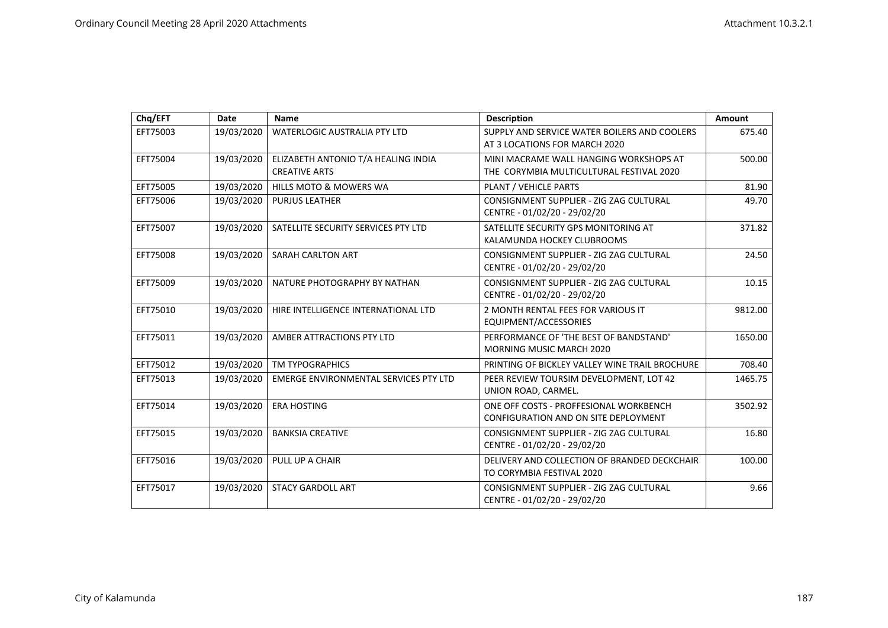| Chq/EFT  | <b>Date</b> | <b>Name</b>                                                 | <b>Description</b>                                                                 | Amount  |
|----------|-------------|-------------------------------------------------------------|------------------------------------------------------------------------------------|---------|
| EFT75003 | 19/03/2020  | WATERLOGIC AUSTRALIA PTY LTD                                | SUPPLY AND SERVICE WATER BOILERS AND COOLERS<br>AT 3 LOCATIONS FOR MARCH 2020      | 675.40  |
| EFT75004 | 19/03/2020  | ELIZABETH ANTONIO T/A HEALING INDIA<br><b>CREATIVE ARTS</b> | MINI MACRAME WALL HANGING WORKSHOPS AT<br>THE CORYMBIA MULTICULTURAL FESTIVAL 2020 | 500.00  |
| EFT75005 | 19/03/2020  | <b>HILLS MOTO &amp; MOWERS WA</b>                           | PLANT / VEHICLE PARTS                                                              | 81.90   |
| EFT75006 | 19/03/2020  | <b>PURJUS LEATHER</b>                                       | CONSIGNMENT SUPPLIER - ZIG ZAG CULTURAL<br>CENTRE - 01/02/20 - 29/02/20            | 49.70   |
| EFT75007 | 19/03/2020  | SATELLITE SECURITY SERVICES PTY LTD                         | SATELLITE SECURITY GPS MONITORING AT<br>KALAMUNDA HOCKEY CLUBROOMS                 | 371.82  |
| EFT75008 | 19/03/2020  | SARAH CARLTON ART                                           | CONSIGNMENT SUPPLIER - ZIG ZAG CULTURAL<br>CENTRE - 01/02/20 - 29/02/20            | 24.50   |
| EFT75009 | 19/03/2020  | NATURE PHOTOGRAPHY BY NATHAN                                | CONSIGNMENT SUPPLIER - ZIG ZAG CULTURAL<br>CENTRE - 01/02/20 - 29/02/20            | 10.15   |
| EFT75010 | 19/03/2020  | HIRE INTELLIGENCE INTERNATIONAL LTD                         | 2 MONTH RENTAL FEES FOR VARIOUS IT<br>EQUIPMENT/ACCESSORIES                        | 9812.00 |
| EFT75011 | 19/03/2020  | AMBER ATTRACTIONS PTY LTD                                   | PERFORMANCE OF 'THE BEST OF BANDSTAND'<br><b>MORNING MUSIC MARCH 2020</b>          | 1650.00 |
| EFT75012 | 19/03/2020  | <b>TM TYPOGRAPHICS</b>                                      | PRINTING OF BICKLEY VALLEY WINE TRAIL BROCHURE                                     | 708.40  |
| EFT75013 | 19/03/2020  | <b>EMERGE ENVIRONMENTAL SERVICES PTY LTD</b>                | PEER REVIEW TOURSIM DEVELOPMENT, LOT 42<br>UNION ROAD, CARMEL.                     | 1465.75 |
| EFT75014 | 19/03/2020  | <b>ERA HOSTING</b>                                          | ONE OFF COSTS - PROFFESIONAL WORKBENCH<br>CONFIGURATION AND ON SITE DEPLOYMENT     | 3502.92 |
| EFT75015 | 19/03/2020  | <b>BANKSIA CREATIVE</b>                                     | CONSIGNMENT SUPPLIER - ZIG ZAG CULTURAL<br>CENTRE - 01/02/20 - 29/02/20            | 16.80   |
| EFT75016 | 19/03/2020  | PULL UP A CHAIR                                             | DELIVERY AND COLLECTION OF BRANDED DECKCHAIR<br>TO CORYMBIA FESTIVAL 2020          | 100.00  |
| EFT75017 | 19/03/2020  | <b>STACY GARDOLL ART</b>                                    | CONSIGNMENT SUPPLIER - ZIG ZAG CULTURAL<br>CENTRE - 01/02/20 - 29/02/20            | 9.66    |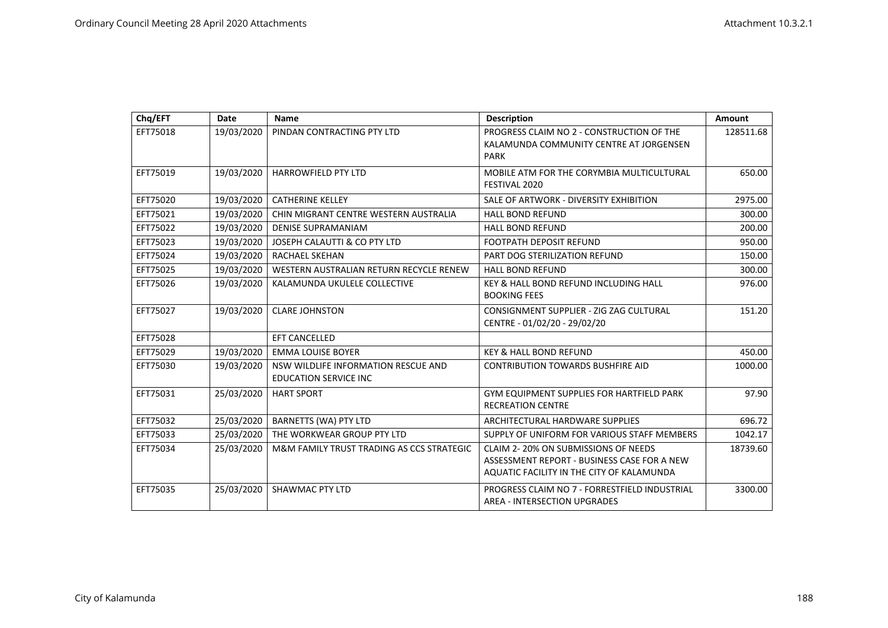| Chq/EFT  | Date       | <b>Name</b>                                                         | <b>Description</b>                                                                                                              | Amount    |
|----------|------------|---------------------------------------------------------------------|---------------------------------------------------------------------------------------------------------------------------------|-----------|
| EFT75018 | 19/03/2020 | PINDAN CONTRACTING PTY LTD                                          | PROGRESS CLAIM NO 2 - CONSTRUCTION OF THE<br>KALAMUNDA COMMUNITY CENTRE AT JORGENSEN<br><b>PARK</b>                             | 128511.68 |
| EFT75019 | 19/03/2020 | <b>HARROWFIELD PTY LTD</b>                                          | MOBILE ATM FOR THE CORYMBIA MULTICULTURAL<br>FESTIVAL 2020                                                                      | 650.00    |
| EFT75020 | 19/03/2020 | <b>CATHERINE KELLEY</b>                                             | SALE OF ARTWORK - DIVERSITY EXHIBITION                                                                                          | 2975.00   |
| EFT75021 | 19/03/2020 | CHIN MIGRANT CENTRE WESTERN AUSTRALIA                               | <b>HALL BOND REFUND</b>                                                                                                         | 300.00    |
| EFT75022 | 19/03/2020 | <b>DENISE SUPRAMANIAM</b>                                           | <b>HALL BOND REFUND</b>                                                                                                         | 200.00    |
| EFT75023 | 19/03/2020 | JOSEPH CALAUTTI & CO PTY LTD                                        | <b>FOOTPATH DEPOSIT REFUND</b>                                                                                                  | 950.00    |
| EFT75024 | 19/03/2020 | <b>RACHAEL SKEHAN</b>                                               | PART DOG STERILIZATION REFUND                                                                                                   | 150.00    |
| EFT75025 | 19/03/2020 | WESTERN AUSTRALIAN RETURN RECYCLE RENEW                             | <b>HALL BOND REFUND</b>                                                                                                         | 300.00    |
| EFT75026 | 19/03/2020 | KALAMUNDA UKULELE COLLECTIVE                                        | KEY & HALL BOND REFUND INCLUDING HALL<br><b>BOOKING FEES</b>                                                                    | 976.00    |
| EFT75027 | 19/03/2020 | <b>CLARE JOHNSTON</b>                                               | CONSIGNMENT SUPPLIER - ZIG ZAG CULTURAL<br>CENTRE - 01/02/20 - 29/02/20                                                         | 151.20    |
| EFT75028 |            | <b>EFT CANCELLED</b>                                                |                                                                                                                                 |           |
| EFT75029 | 19/03/2020 | <b>EMMA LOUISE BOYER</b>                                            | <b>KEY &amp; HALL BOND REFUND</b>                                                                                               | 450.00    |
| EFT75030 | 19/03/2020 | NSW WILDLIFE INFORMATION RESCUE AND<br><b>EDUCATION SERVICE INC</b> | <b>CONTRIBUTION TOWARDS BUSHFIRE AID</b>                                                                                        | 1000.00   |
| EFT75031 | 25/03/2020 | <b>HART SPORT</b>                                                   | <b>GYM EQUIPMENT SUPPLIES FOR HARTFIELD PARK</b><br><b>RECREATION CENTRE</b>                                                    | 97.90     |
| EFT75032 | 25/03/2020 | <b>BARNETTS (WA) PTY LTD</b>                                        | ARCHITECTURAL HARDWARE SUPPLIES                                                                                                 | 696.72    |
| EFT75033 | 25/03/2020 | THE WORKWEAR GROUP PTY LTD                                          | SUPPLY OF UNIFORM FOR VARIOUS STAFF MEMBERS                                                                                     | 1042.17   |
| EFT75034 | 25/03/2020 | M&M FAMILY TRUST TRADING AS CCS STRATEGIC                           | CLAIM 2-20% ON SUBMISSIONS OF NEEDS<br>ASSESSMENT REPORT - BUSINESS CASE FOR A NEW<br>AQUATIC FACILITY IN THE CITY OF KALAMUNDA | 18739.60  |
| EFT75035 | 25/03/2020 | <b>SHAWMAC PTY LTD</b>                                              | PROGRESS CLAIM NO 7 - FORRESTFIELD INDUSTRIAL<br><b>AREA - INTERSECTION UPGRADES</b>                                            | 3300.00   |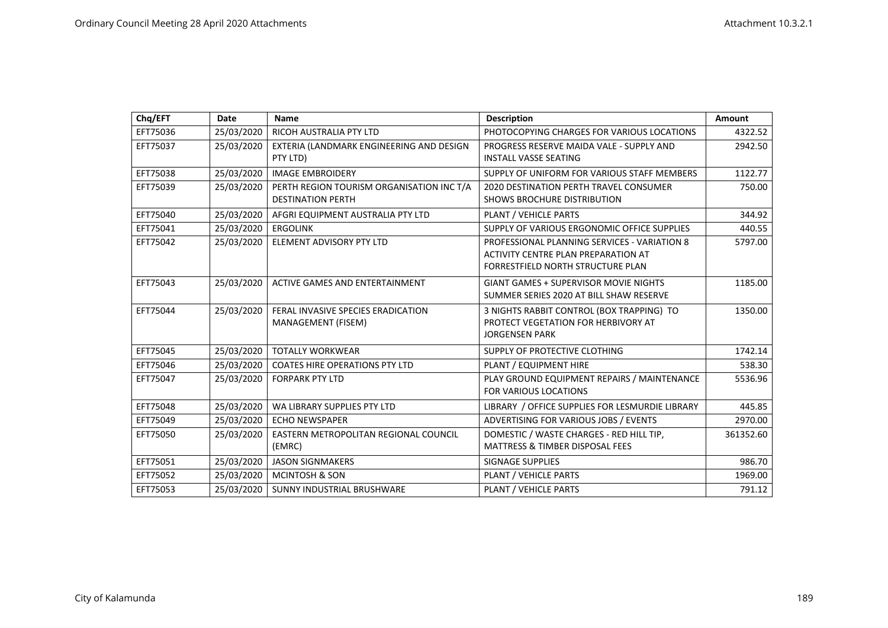| Chq/EFT  | Date       | <b>Name</b>                                                           | <b>Description</b>                                                                                                       | Amount    |
|----------|------------|-----------------------------------------------------------------------|--------------------------------------------------------------------------------------------------------------------------|-----------|
| EFT75036 | 25/03/2020 | RICOH AUSTRALIA PTY LTD                                               | PHOTOCOPYING CHARGES FOR VARIOUS LOCATIONS                                                                               | 4322.52   |
| EFT75037 | 25/03/2020 | EXTERIA (LANDMARK ENGINEERING AND DESIGN<br>PTY LTD)                  | PROGRESS RESERVE MAIDA VALE - SUPPLY AND<br><b>INSTALL VASSE SEATING</b>                                                 | 2942.50   |
| EFT75038 | 25/03/2020 | <b>IMAGE EMBROIDERY</b>                                               | SUPPLY OF UNIFORM FOR VARIOUS STAFF MEMBERS                                                                              | 1122.77   |
| EFT75039 | 25/03/2020 | PERTH REGION TOURISM ORGANISATION INC T/A<br><b>DESTINATION PERTH</b> | <b>2020 DESTINATION PERTH TRAVEL CONSUMER</b><br>SHOWS BROCHURE DISTRIBUTION                                             | 750.00    |
| EFT75040 | 25/03/2020 | AFGRI EQUIPMENT AUSTRALIA PTY LTD                                     | PLANT / VEHICLE PARTS                                                                                                    | 344.92    |
| EFT75041 | 25/03/2020 | <b>ERGOLINK</b>                                                       | SUPPLY OF VARIOUS ERGONOMIC OFFICE SUPPLIES                                                                              | 440.55    |
| EFT75042 | 25/03/2020 | <b>ELEMENT ADVISORY PTY LTD</b>                                       | PROFESSIONAL PLANNING SERVICES - VARIATION 8<br>ACTIVITY CENTRE PLAN PREPARATION AT<br>FORRESTFIELD NORTH STRUCTURE PLAN | 5797.00   |
| EFT75043 | 25/03/2020 | ACTIVE GAMES AND ENTERTAINMENT                                        | <b>GIANT GAMES + SUPERVISOR MOVIE NIGHTS</b><br>SUMMER SERIES 2020 AT BILL SHAW RESERVE                                  | 1185.00   |
| EFT75044 | 25/03/2020 | FERAL INVASIVE SPECIES ERADICATION<br>MANAGEMENT (FISEM)              | 3 NIGHTS RABBIT CONTROL (BOX TRAPPING) TO<br>PROTECT VEGETATION FOR HERBIVORY AT<br><b>JORGENSEN PARK</b>                | 1350.00   |
| EFT75045 | 25/03/2020 | <b>TOTALLY WORKWEAR</b>                                               | SUPPLY OF PROTECTIVE CLOTHING                                                                                            | 1742.14   |
| EFT75046 | 25/03/2020 | <b>COATES HIRE OPERATIONS PTY LTD</b>                                 | PLANT / EQUIPMENT HIRE                                                                                                   | 538.30    |
| EFT75047 | 25/03/2020 | <b>FORPARK PTY LTD</b>                                                | PLAY GROUND EQUIPMENT REPAIRS / MAINTENANCE<br><b>FOR VARIOUS LOCATIONS</b>                                              | 5536.96   |
| EFT75048 | 25/03/2020 | WA LIBRARY SUPPLIES PTY LTD                                           | LIBRARY / OFFICE SUPPLIES FOR LESMURDIE LIBRARY                                                                          | 445.85    |
| EFT75049 | 25/03/2020 | <b>ECHO NEWSPAPER</b>                                                 | ADVERTISING FOR VARIOUS JOBS / EVENTS                                                                                    | 2970.00   |
| EFT75050 | 25/03/2020 | EASTERN METROPOLITAN REGIONAL COUNCIL<br>(EMRC)                       | DOMESTIC / WASTE CHARGES - RED HILL TIP,<br><b>MATTRESS &amp; TIMBER DISPOSAL FEES</b>                                   | 361352.60 |
| EFT75051 | 25/03/2020 | <b>JASON SIGNMAKERS</b>                                               | <b>SIGNAGE SUPPLIES</b>                                                                                                  | 986.70    |
| EFT75052 | 25/03/2020 | <b>MCINTOSH &amp; SON</b>                                             | PLANT / VEHICLE PARTS                                                                                                    | 1969.00   |
| EFT75053 | 25/03/2020 | SUNNY INDUSTRIAL BRUSHWARE                                            | PLANT / VEHICLE PARTS                                                                                                    | 791.12    |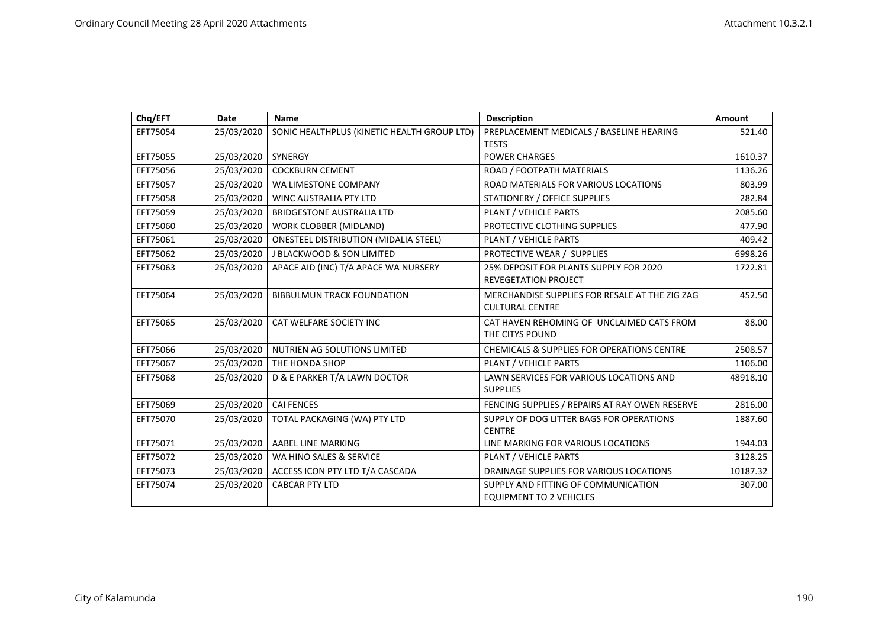| Chq/EFT  | Date       | <b>Name</b>                                  | <b>Description</b>                                                       | Amount   |
|----------|------------|----------------------------------------------|--------------------------------------------------------------------------|----------|
| EFT75054 | 25/03/2020 | SONIC HEALTHPLUS (KINETIC HEALTH GROUP LTD)  | PREPLACEMENT MEDICALS / BASELINE HEARING                                 | 521.40   |
|          |            |                                              | <b>TESTS</b>                                                             |          |
| EFT75055 | 25/03/2020 | SYNERGY                                      | <b>POWER CHARGES</b>                                                     | 1610.37  |
| EFT75056 | 25/03/2020 | <b>COCKBURN CEMENT</b>                       | ROAD / FOOTPATH MATERIALS                                                | 1136.26  |
| EFT75057 | 25/03/2020 | WA LIMESTONE COMPANY                         | ROAD MATERIALS FOR VARIOUS LOCATIONS                                     | 803.99   |
| EFT75058 | 25/03/2020 | <b>WINC AUSTRALIA PTY LTD</b>                | STATIONERY / OFFICE SUPPLIES                                             | 282.84   |
| EFT75059 | 25/03/2020 | <b>BRIDGESTONE AUSTRALIA LTD</b>             | PLANT / VEHICLE PARTS                                                    | 2085.60  |
| EFT75060 | 25/03/2020 | WORK CLOBBER (MIDLAND)                       | PROTECTIVE CLOTHING SUPPLIES                                             | 477.90   |
| EFT75061 | 25/03/2020 | <b>ONESTEEL DISTRIBUTION (MIDALIA STEEL)</b> | <b>PLANT / VEHICLE PARTS</b>                                             | 409.42   |
| EFT75062 | 25/03/2020 | <b>J BLACKWOOD &amp; SON LIMITED</b>         | PROTECTIVE WEAR / SUPPLIES                                               | 6998.26  |
| EFT75063 | 25/03/2020 | APACE AID (INC) T/A APACE WA NURSERY         | 25% DEPOSIT FOR PLANTS SUPPLY FOR 2020<br><b>REVEGETATION PROJECT</b>    | 1722.81  |
| EFT75064 | 25/03/2020 | <b>BIBBULMUN TRACK FOUNDATION</b>            | MERCHANDISE SUPPLIES FOR RESALE AT THE ZIG ZAG<br><b>CULTURAL CENTRE</b> | 452.50   |
| EFT75065 | 25/03/2020 | CAT WELFARE SOCIETY INC                      | CAT HAVEN REHOMING OF UNCLAIMED CATS FROM<br>THE CITYS POUND             | 88.00    |
| EFT75066 | 25/03/2020 | NUTRIEN AG SOLUTIONS LIMITED                 | <b>CHEMICALS &amp; SUPPLIES FOR OPERATIONS CENTRE</b>                    | 2508.57  |
| EFT75067 | 25/03/2020 | THE HONDA SHOP                               | PLANT / VEHICLE PARTS                                                    | 1106.00  |
| EFT75068 | 25/03/2020 | D & E PARKER T/A LAWN DOCTOR                 | LAWN SERVICES FOR VARIOUS LOCATIONS AND<br><b>SUPPLIES</b>               | 48918.10 |
| EFT75069 | 25/03/2020 | <b>CAI FENCES</b>                            | FENCING SUPPLIES / REPAIRS AT RAY OWEN RESERVE                           | 2816.00  |
| EFT75070 | 25/03/2020 | TOTAL PACKAGING (WA) PTY LTD                 | SUPPLY OF DOG LITTER BAGS FOR OPERATIONS<br><b>CENTRE</b>                | 1887.60  |
| EFT75071 | 25/03/2020 | AABEL LINE MARKING                           | LINE MARKING FOR VARIOUS LOCATIONS                                       | 1944.03  |
| EFT75072 | 25/03/2020 | WA HINO SALES & SERVICE                      | PLANT / VEHICLE PARTS                                                    | 3128.25  |
| EFT75073 | 25/03/2020 | ACCESS ICON PTY LTD T/A CASCADA              | DRAINAGE SUPPLIES FOR VARIOUS LOCATIONS                                  | 10187.32 |
| EFT75074 | 25/03/2020 | <b>CABCAR PTY LTD</b>                        | SUPPLY AND FITTING OF COMMUNICATION<br><b>EQUIPMENT TO 2 VEHICLES</b>    | 307.00   |
|          |            |                                              |                                                                          |          |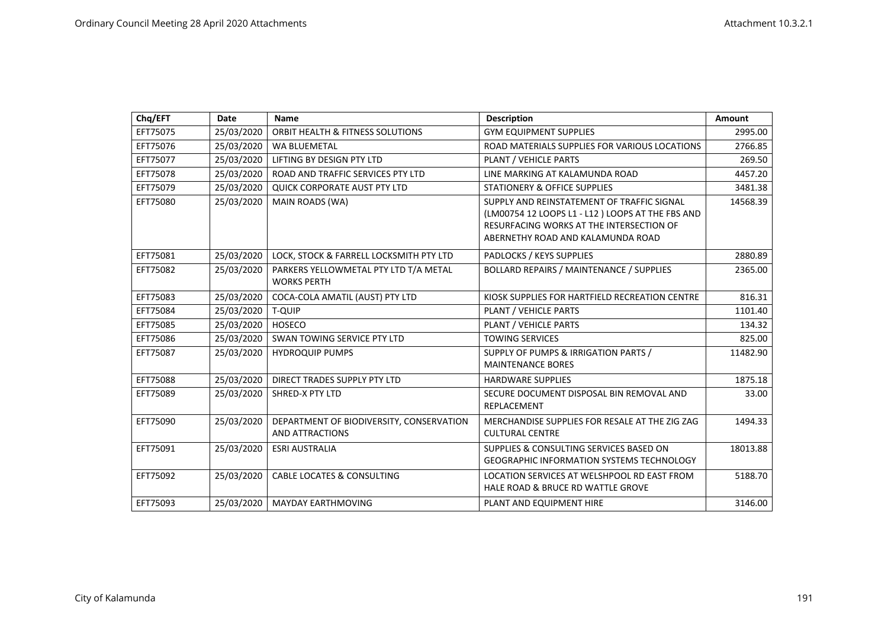| Chq/EFT  | Date       | <b>Name</b>                              | <b>Description</b>                               | <b>Amount</b> |
|----------|------------|------------------------------------------|--------------------------------------------------|---------------|
| EFT75075 | 25/03/2020 | ORBIT HEALTH & FITNESS SOLUTIONS         | <b>GYM EQUIPMENT SUPPLIES</b>                    | 2995.00       |
| EFT75076 | 25/03/2020 | <b>WA BLUEMETAL</b>                      | ROAD MATERIALS SUPPLIES FOR VARIOUS LOCATIONS    | 2766.85       |
| EFT75077 | 25/03/2020 | LIFTING BY DESIGN PTY LTD                | <b>PLANT / VEHICLE PARTS</b>                     | 269.50        |
| EFT75078 | 25/03/2020 | ROAD AND TRAFFIC SERVICES PTY LTD        | LINE MARKING AT KALAMUNDA ROAD                   | 4457.20       |
| EFT75079 | 25/03/2020 | <b>QUICK CORPORATE AUST PTY LTD</b>      | <b>STATIONERY &amp; OFFICE SUPPLIES</b>          | 3481.38       |
| EFT75080 | 25/03/2020 | MAIN ROADS (WA)                          | SUPPLY AND REINSTATEMENT OF TRAFFIC SIGNAL       | 14568.39      |
|          |            |                                          | (LM00754 12 LOOPS L1 - L12) LOOPS AT THE FBS AND |               |
|          |            |                                          | RESURFACING WORKS AT THE INTERSECTION OF         |               |
|          |            |                                          | ABERNETHY ROAD AND KALAMUNDA ROAD                |               |
| EFT75081 | 25/03/2020 | LOCK, STOCK & FARRELL LOCKSMITH PTY LTD  | PADLOCKS / KEYS SUPPLIES                         | 2880.89       |
| EFT75082 | 25/03/2020 | PARKERS YELLOWMETAL PTY LTD T/A METAL    | <b>BOLLARD REPAIRS / MAINTENANCE / SUPPLIES</b>  | 2365.00       |
|          |            | <b>WORKS PERTH</b>                       |                                                  |               |
| EFT75083 | 25/03/2020 | COCA-COLA AMATIL (AUST) PTY LTD          | KIOSK SUPPLIES FOR HARTFIELD RECREATION CENTRE   | 816.31        |
| EFT75084 | 25/03/2020 | T-QUIP                                   | PLANT / VEHICLE PARTS                            | 1101.40       |
| EFT75085 | 25/03/2020 | HOSECO                                   | PLANT / VEHICLE PARTS                            | 134.32        |
| EFT75086 | 25/03/2020 | SWAN TOWING SERVICE PTY LTD              | <b>TOWING SERVICES</b>                           | 825.00        |
| EFT75087 | 25/03/2020 | <b>HYDROQUIP PUMPS</b>                   | SUPPLY OF PUMPS & IRRIGATION PARTS /             | 11482.90      |
|          |            |                                          | <b>MAINTENANCE BORES</b>                         |               |
| EFT75088 | 25/03/2020 | DIRECT TRADES SUPPLY PTY LTD             | <b>HARDWARE SUPPLIES</b>                         | 1875.18       |
| EFT75089 | 25/03/2020 | SHRED-X PTY LTD                          | SECURE DOCUMENT DISPOSAL BIN REMOVAL AND         | 33.00         |
|          |            |                                          | REPLACEMENT                                      |               |
| EFT75090 | 25/03/2020 | DEPARTMENT OF BIODIVERSITY, CONSERVATION | MERCHANDISE SUPPLIES FOR RESALE AT THE ZIG ZAG   | 1494.33       |
|          |            | AND ATTRACTIONS                          | <b>CULTURAL CENTRE</b>                           |               |
| EFT75091 | 25/03/2020 | <b>ESRI AUSTRALIA</b>                    | SUPPLIES & CONSULTING SERVICES BASED ON          | 18013.88      |
|          |            |                                          | <b>GEOGRAPHIC INFORMATION SYSTEMS TECHNOLOGY</b> |               |
| EFT75092 | 25/03/2020 | <b>CABLE LOCATES &amp; CONSULTING</b>    | LOCATION SERVICES AT WELSHPOOL RD EAST FROM      | 5188.70       |
|          |            |                                          | <b>HALE ROAD &amp; BRUCE RD WATTLE GROVE</b>     |               |
| EFT75093 | 25/03/2020 | <b>MAYDAY EARTHMOVING</b>                | PLANT AND EQUIPMENT HIRE                         | 3146.00       |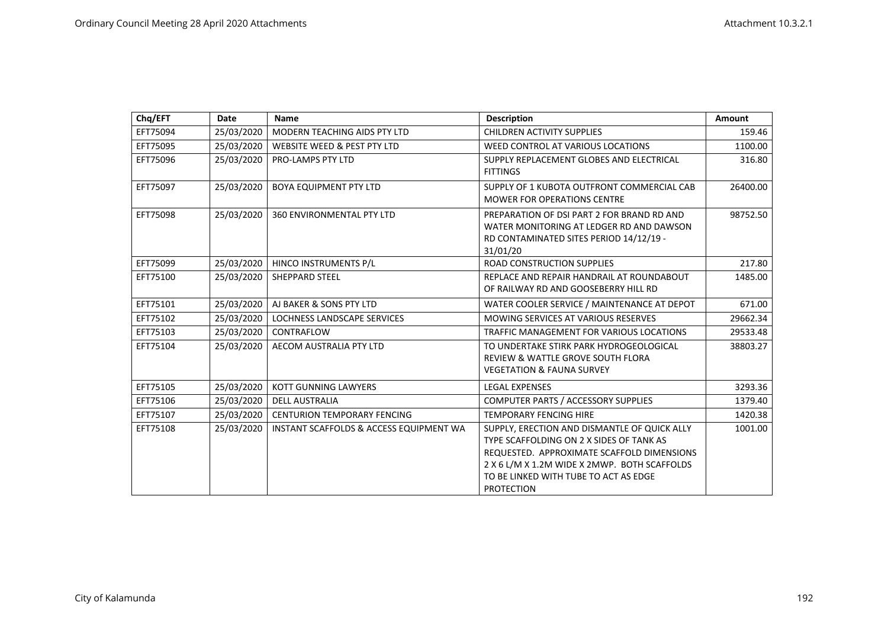| Chq/EFT  | <b>Date</b> | <b>Name</b>                             | <b>Description</b>                                                                                                                                                                                                                                   | <b>Amount</b> |
|----------|-------------|-----------------------------------------|------------------------------------------------------------------------------------------------------------------------------------------------------------------------------------------------------------------------------------------------------|---------------|
| EFT75094 | 25/03/2020  | MODERN TEACHING AIDS PTY LTD            | <b>CHILDREN ACTIVITY SUPPLIES</b>                                                                                                                                                                                                                    | 159.46        |
| EFT75095 | 25/03/2020  | WEBSITE WEED & PEST PTY LTD             | WEED CONTROL AT VARIOUS LOCATIONS                                                                                                                                                                                                                    | 1100.00       |
| EFT75096 | 25/03/2020  | <b>PRO-LAMPS PTY LTD</b>                | SUPPLY REPLACEMENT GLOBES AND ELECTRICAL<br><b>FITTINGS</b>                                                                                                                                                                                          | 316.80        |
| EFT75097 | 25/03/2020  | <b>BOYA EQUIPMENT PTY LTD</b>           | SUPPLY OF 1 KUBOTA OUTFRONT COMMERCIAL CAB<br><b>MOWER FOR OPERATIONS CENTRE</b>                                                                                                                                                                     | 26400.00      |
| EFT75098 | 25/03/2020  | <b>360 ENVIRONMENTAL PTY LTD</b>        | PREPARATION OF DSI PART 2 FOR BRAND RD AND<br>WATER MONITORING AT LEDGER RD AND DAWSON<br>RD CONTAMINATED SITES PERIOD 14/12/19 -<br>31/01/20                                                                                                        | 98752.50      |
| EFT75099 | 25/03/2020  | HINCO INSTRUMENTS P/L                   | <b>ROAD CONSTRUCTION SUPPLIES</b>                                                                                                                                                                                                                    | 217.80        |
| EFT75100 | 25/03/2020  | <b>SHEPPARD STEEL</b>                   | REPLACE AND REPAIR HANDRAIL AT ROUNDABOUT<br>OF RAILWAY RD AND GOOSEBERRY HILL RD                                                                                                                                                                    | 1485.00       |
| EFT75101 | 25/03/2020  | AJ BAKER & SONS PTY LTD                 | WATER COOLER SERVICE / MAINTENANCE AT DEPOT                                                                                                                                                                                                          | 671.00        |
| EFT75102 | 25/03/2020  | LOCHNESS LANDSCAPE SERVICES             | MOWING SERVICES AT VARIOUS RESERVES                                                                                                                                                                                                                  | 29662.34      |
| EFT75103 | 25/03/2020  | CONTRAFLOW                              | TRAFFIC MANAGEMENT FOR VARIOUS LOCATIONS                                                                                                                                                                                                             | 29533.48      |
| EFT75104 | 25/03/2020  | AECOM AUSTRALIA PTY LTD                 | TO UNDERTAKE STIRK PARK HYDROGEOLOGICAL<br><b>REVIEW &amp; WATTLE GROVE SOUTH FLORA</b><br><b>VEGETATION &amp; FAUNA SURVEY</b>                                                                                                                      | 38803.27      |
| EFT75105 | 25/03/2020  | <b>KOTT GUNNING LAWYERS</b>             | <b>LEGAL EXPENSES</b>                                                                                                                                                                                                                                | 3293.36       |
| EFT75106 | 25/03/2020  | <b>DELL AUSTRALIA</b>                   | COMPUTER PARTS / ACCESSORY SUPPLIES                                                                                                                                                                                                                  | 1379.40       |
| EFT75107 | 25/03/2020  | <b>CENTURION TEMPORARY FENCING</b>      | <b>TEMPORARY FENCING HIRE</b>                                                                                                                                                                                                                        | 1420.38       |
| EFT75108 | 25/03/2020  | INSTANT SCAFFOLDS & ACCESS EQUIPMENT WA | SUPPLY, ERECTION AND DISMANTLE OF QUICK ALLY<br>TYPE SCAFFOLDING ON 2 X SIDES OF TANK AS<br>REQUESTED. APPROXIMATE SCAFFOLD DIMENSIONS<br>2 X 6 L/M X 1.2M WIDE X 2MWP. BOTH SCAFFOLDS<br>TO BE LINKED WITH TUBE TO ACT AS EDGE<br><b>PROTECTION</b> | 1001.00       |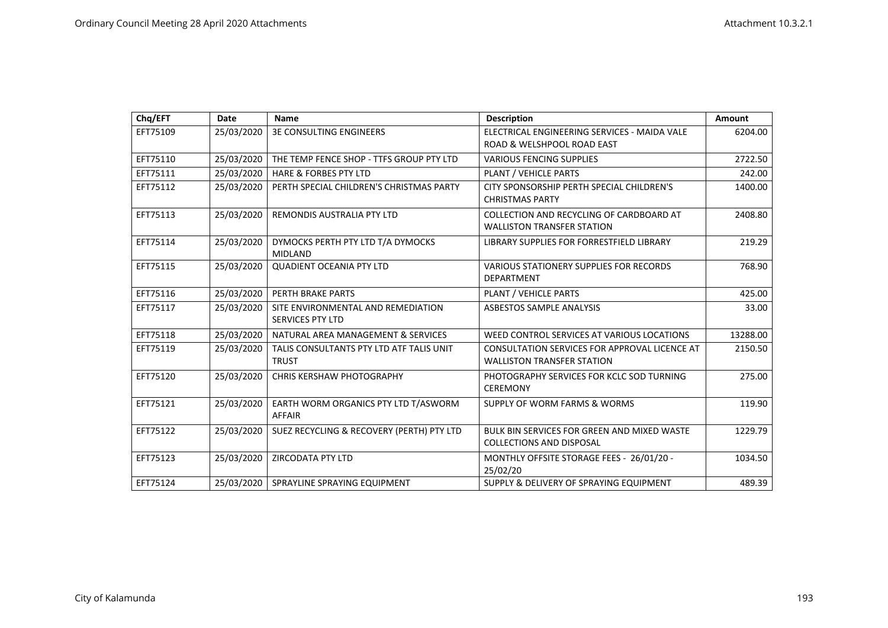| Chq/EFT  | Date       | <b>Name</b>                                                   | <b>Description</b>                                                                 | Amount   |
|----------|------------|---------------------------------------------------------------|------------------------------------------------------------------------------------|----------|
| EFT75109 | 25/03/2020 | <b>3E CONSULTING ENGINEERS</b>                                | ELECTRICAL ENGINEERING SERVICES - MAIDA VALE                                       | 6204.00  |
|          |            |                                                               | ROAD & WELSHPOOL ROAD EAST                                                         |          |
| EFT75110 | 25/03/2020 | THE TEMP FENCE SHOP - TTFS GROUP PTY LTD                      | <b>VARIOUS FENCING SUPPLIES</b>                                                    | 2722.50  |
| EFT75111 | 25/03/2020 | <b>HARE &amp; FORBES PTY LTD</b>                              | PLANT / VEHICLE PARTS                                                              | 242.00   |
| EFT75112 | 25/03/2020 | PERTH SPECIAL CHILDREN'S CHRISTMAS PARTY                      | CITY SPONSORSHIP PERTH SPECIAL CHILDREN'S<br><b>CHRISTMAS PARTY</b>                | 1400.00  |
| EFT75113 | 25/03/2020 | REMONDIS AUSTRALIA PTY LTD                                    | COLLECTION AND RECYCLING OF CARDBOARD AT<br><b>WALLISTON TRANSFER STATION</b>      | 2408.80  |
| EFT75114 | 25/03/2020 | DYMOCKS PERTH PTY LTD T/A DYMOCKS<br><b>MIDLAND</b>           | LIBRARY SUPPLIES FOR FORRESTFIELD LIBRARY                                          | 219.29   |
| EFT75115 | 25/03/2020 | <b>QUADIENT OCEANIA PTY LTD</b>                               | <b>VARIOUS STATIONERY SUPPLIES FOR RECORDS</b><br><b>DEPARTMENT</b>                | 768.90   |
| EFT75116 | 25/03/2020 | PERTH BRAKE PARTS                                             | PLANT / VEHICLE PARTS                                                              | 425.00   |
| EFT75117 | 25/03/2020 | SITE ENVIRONMENTAL AND REMEDIATION<br><b>SERVICES PTY LTD</b> | <b>ASBESTOS SAMPLE ANALYSIS</b>                                                    | 33.00    |
| EFT75118 | 25/03/2020 | NATURAL AREA MANAGEMENT & SERVICES                            | WEED CONTROL SERVICES AT VARIOUS LOCATIONS                                         | 13288.00 |
| EFT75119 | 25/03/2020 | TALIS CONSULTANTS PTY LTD ATF TALIS UNIT<br><b>TRUST</b>      | CONSULTATION SERVICES FOR APPROVAL LICENCE AT<br><b>WALLISTON TRANSFER STATION</b> | 2150.50  |
| EFT75120 | 25/03/2020 | <b>CHRIS KERSHAW PHOTOGRAPHY</b>                              | PHOTOGRAPHY SERVICES FOR KCLC SOD TURNING<br><b>CEREMONY</b>                       | 275.00   |
| EFT75121 | 25/03/2020 | EARTH WORM ORGANICS PTY LTD T/ASWORM<br>AFFAIR                | SUPPLY OF WORM FARMS & WORMS                                                       | 119.90   |
| EFT75122 | 25/03/2020 | SUEZ RECYCLING & RECOVERY (PERTH) PTY LTD                     | <b>BULK BIN SERVICES FOR GREEN AND MIXED WASTE</b><br>COLLECTIONS AND DISPOSAL     | 1229.79  |
| EFT75123 | 25/03/2020 | ZIRCODATA PTY LTD                                             | MONTHLY OFFSITE STORAGE FEES - 26/01/20 -<br>25/02/20                              | 1034.50  |
| EFT75124 | 25/03/2020 | SPRAYLINE SPRAYING EQUIPMENT                                  | SUPPLY & DELIVERY OF SPRAYING EQUIPMENT                                            | 489.39   |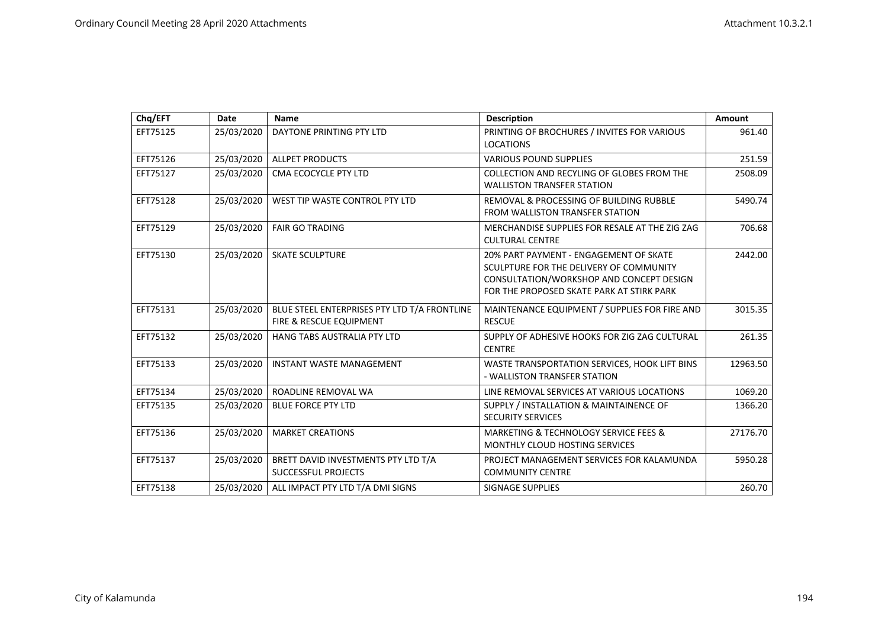| Chq/EFT  | Date       | <b>Name</b>                                                             | <b>Description</b>                                                                                                                                                         | <b>Amount</b> |
|----------|------------|-------------------------------------------------------------------------|----------------------------------------------------------------------------------------------------------------------------------------------------------------------------|---------------|
| EFT75125 | 25/03/2020 | DAYTONE PRINTING PTY LTD                                                | PRINTING OF BROCHURES / INVITES FOR VARIOUS<br><b>LOCATIONS</b>                                                                                                            | 961.40        |
| EFT75126 | 25/03/2020 | <b>ALLPET PRODUCTS</b>                                                  | <b>VARIOUS POUND SUPPLIES</b>                                                                                                                                              | 251.59        |
| EFT75127 | 25/03/2020 | CMA ECOCYCLE PTY LTD                                                    | COLLECTION AND RECYLING OF GLOBES FROM THE<br><b>WALLISTON TRANSFER STATION</b>                                                                                            | 2508.09       |
| EFT75128 | 25/03/2020 | WEST TIP WASTE CONTROL PTY LTD                                          | REMOVAL & PROCESSING OF BUILDING RUBBLE<br><b>FROM WALLISTON TRANSFER STATION</b>                                                                                          | 5490.74       |
| EFT75129 | 25/03/2020 | <b>FAIR GO TRADING</b>                                                  | MERCHANDISE SUPPLIES FOR RESALE AT THE ZIG ZAG<br><b>CULTURAL CENTRE</b>                                                                                                   | 706.68        |
| EFT75130 | 25/03/2020 | <b>SKATE SCULPTURE</b>                                                  | 20% PART PAYMENT - ENGAGEMENT OF SKATE<br>SCULPTURE FOR THE DELIVERY OF COMMUNITY<br>CONSULTATION/WORKSHOP AND CONCEPT DESIGN<br>FOR THE PROPOSED SKATE PARK AT STIRK PARK | 2442.00       |
| EFT75131 | 25/03/2020 | BLUE STEEL ENTERPRISES PTY LTD T/A FRONTLINE<br>FIRE & RESCUE EQUIPMENT | MAINTENANCE EQUIPMENT / SUPPLIES FOR FIRE AND<br><b>RESCUE</b>                                                                                                             | 3015.35       |
| EFT75132 | 25/03/2020 | HANG TABS AUSTRALIA PTY LTD                                             | SUPPLY OF ADHESIVE HOOKS FOR ZIG ZAG CULTURAL<br><b>CENTRE</b>                                                                                                             | 261.35        |
| EFT75133 | 25/03/2020 | <b>INSTANT WASTE MANAGEMENT</b>                                         | WASTE TRANSPORTATION SERVICES, HOOK LIFT BINS<br>- WALLISTON TRANSFER STATION                                                                                              | 12963.50      |
| EFT75134 | 25/03/2020 | ROADLINE REMOVAL WA                                                     | LINE REMOVAL SERVICES AT VARIOUS LOCATIONS                                                                                                                                 | 1069.20       |
| EFT75135 | 25/03/2020 | <b>BLUE FORCE PTY LTD</b>                                               | SUPPLY / INSTALLATION & MAINTAINENCE OF<br><b>SECURITY SERVICES</b>                                                                                                        | 1366.20       |
| EFT75136 | 25/03/2020 | <b>MARKET CREATIONS</b>                                                 | MARKETING & TECHNOLOGY SERVICE FEES &<br><b>MONTHLY CLOUD HOSTING SERVICES</b>                                                                                             | 27176.70      |
| EFT75137 | 25/03/2020 | BRETT DAVID INVESTMENTS PTY LTD T/A<br><b>SUCCESSFUL PROJECTS</b>       | PROJECT MANAGEMENT SERVICES FOR KALAMUNDA<br><b>COMMUNITY CENTRE</b>                                                                                                       | 5950.28       |
| EFT75138 | 25/03/2020 | ALL IMPACT PTY LTD T/A DMI SIGNS                                        | <b>SIGNAGE SUPPLIES</b>                                                                                                                                                    | 260.70        |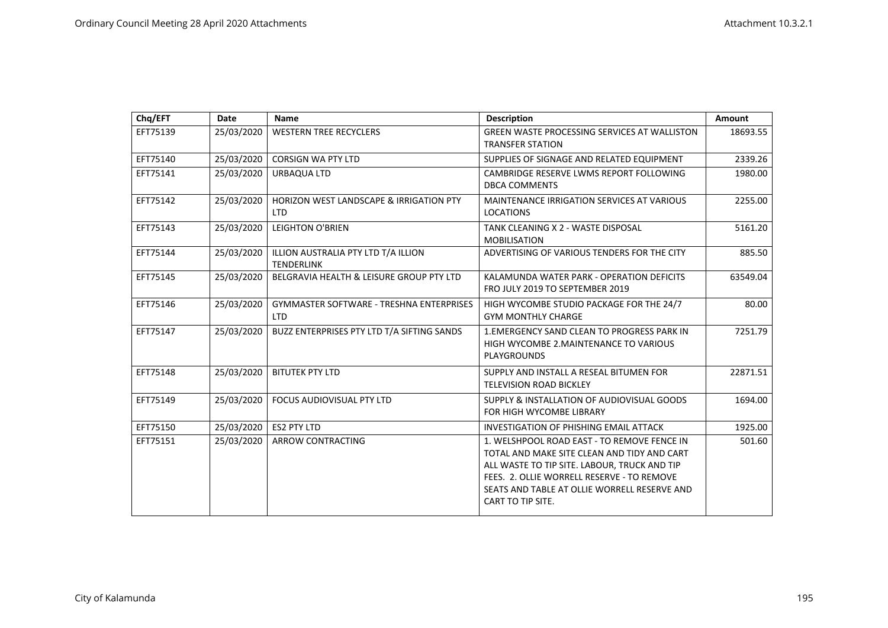| Chq/EFT  | <b>Date</b> | <b>Name</b>                                                      | <b>Description</b>                                                                                                                                                                                                                                            | Amount   |
|----------|-------------|------------------------------------------------------------------|---------------------------------------------------------------------------------------------------------------------------------------------------------------------------------------------------------------------------------------------------------------|----------|
| EFT75139 | 25/03/2020  | <b>WESTERN TREE RECYCLERS</b>                                    | <b>GREEN WASTE PROCESSING SERVICES AT WALLISTON</b><br><b>TRANSFER STATION</b>                                                                                                                                                                                | 18693.55 |
| EFT75140 | 25/03/2020  | <b>CORSIGN WA PTY LTD</b>                                        | SUPPLIES OF SIGNAGE AND RELATED EQUIPMENT                                                                                                                                                                                                                     | 2339.26  |
| EFT75141 | 25/03/2020  | URBAQUA LTD                                                      | CAMBRIDGE RESERVE LWMS REPORT FOLLOWING<br><b>DBCA COMMENTS</b>                                                                                                                                                                                               | 1980.00  |
| EFT75142 | 25/03/2020  | <b>HORIZON WEST LANDSCAPE &amp; IRRIGATION PTY</b><br><b>LTD</b> | <b>MAINTENANCE IRRIGATION SERVICES AT VARIOUS</b><br><b>LOCATIONS</b>                                                                                                                                                                                         | 2255.00  |
| EFT75143 | 25/03/2020  | <b>LEIGHTON O'BRIEN</b>                                          | TANK CLEANING X 2 - WASTE DISPOSAL<br><b>MOBILISATION</b>                                                                                                                                                                                                     | 5161.20  |
| EFT75144 | 25/03/2020  | ILLION AUSTRALIA PTY LTD T/A ILLION<br><b>TENDERLINK</b>         | ADVERTISING OF VARIOUS TENDERS FOR THE CITY                                                                                                                                                                                                                   | 885.50   |
| EFT75145 | 25/03/2020  | BELGRAVIA HEALTH & LEISURE GROUP PTY LTD                         | KALAMUNDA WATER PARK - OPERATION DEFICITS<br>FRO JULY 2019 TO SEPTEMBER 2019                                                                                                                                                                                  | 63549.04 |
| EFT75146 | 25/03/2020  | <b>GYMMASTER SOFTWARE - TRESHNA ENTERPRISES</b><br><b>LTD</b>    | HIGH WYCOMBE STUDIO PACKAGE FOR THE 24/7<br><b>GYM MONTHLY CHARGE</b>                                                                                                                                                                                         | 80.00    |
| EFT75147 | 25/03/2020  | BUZZ ENTERPRISES PTY LTD T/A SIFTING SANDS                       | <b>1.EMERGENCY SAND CLEAN TO PROGRESS PARK IN</b><br>HIGH WYCOMBE 2. MAINTENANCE TO VARIOUS<br><b>PLAYGROUNDS</b>                                                                                                                                             | 7251.79  |
| EFT75148 | 25/03/2020  | <b>BITUTEK PTY LTD</b>                                           | SUPPLY AND INSTALL A RESEAL BITUMEN FOR<br><b>TELEVISION ROAD BICKLEY</b>                                                                                                                                                                                     | 22871.51 |
| EFT75149 | 25/03/2020  | <b>FOCUS AUDIOVISUAL PTY LTD</b>                                 | SUPPLY & INSTALLATION OF AUDIOVISUAL GOODS<br>FOR HIGH WYCOMBE LIBRARY                                                                                                                                                                                        | 1694.00  |
| EFT75150 | 25/03/2020  | ES2 PTY LTD                                                      | <b>INVESTIGATION OF PHISHING EMAIL ATTACK</b>                                                                                                                                                                                                                 | 1925.00  |
| EFT75151 | 25/03/2020  | ARROW CONTRACTING                                                | 1. WELSHPOOL ROAD EAST - TO REMOVE FENCE IN<br>TOTAL AND MAKE SITE CLEAN AND TIDY AND CART<br>ALL WASTE TO TIP SITE. LABOUR, TRUCK AND TIP<br>FEES. 2. OLLIE WORRELL RESERVE - TO REMOVE<br>SEATS AND TABLE AT OLLIE WORRELL RESERVE AND<br>CART TO TIP SITE. | 501.60   |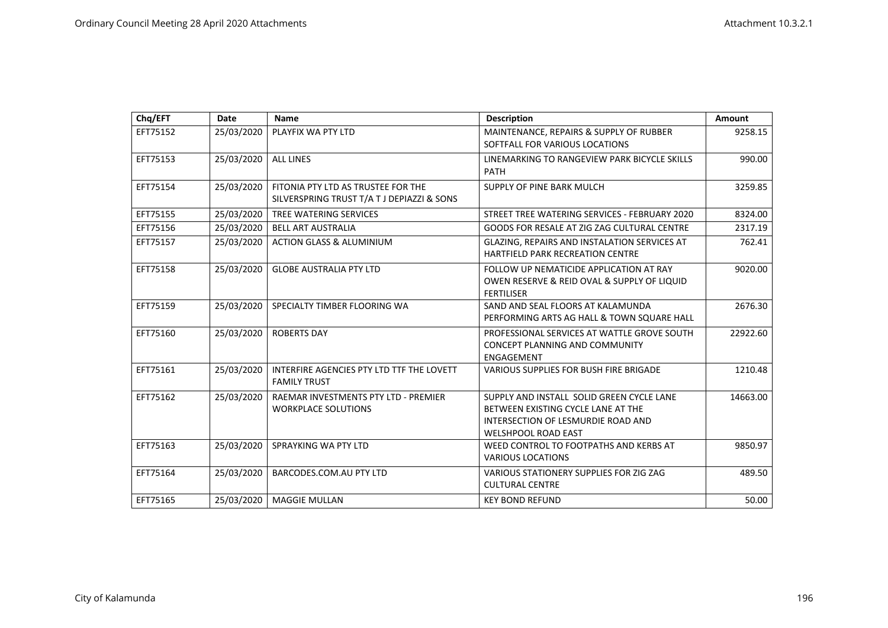| Chq/EFT  | Date       | <b>Name</b>                                                                      | <b>Description</b>                                                                                                                                  | Amount   |
|----------|------------|----------------------------------------------------------------------------------|-----------------------------------------------------------------------------------------------------------------------------------------------------|----------|
| EFT75152 | 25/03/2020 | PLAYFIX WA PTY LTD                                                               | MAINTENANCE, REPAIRS & SUPPLY OF RUBBER<br>SOFTFALL FOR VARIOUS LOCATIONS                                                                           | 9258.15  |
| EFT75153 | 25/03/2020 | <b>ALL LINES</b>                                                                 | LINEMARKING TO RANGEVIEW PARK BICYCLE SKILLS<br><b>PATH</b>                                                                                         | 990.00   |
| EFT75154 | 25/03/2020 | FITONIA PTY LTD AS TRUSTEE FOR THE<br>SILVERSPRING TRUST T/A T J DEPIAZZI & SONS | SUPPLY OF PINE BARK MULCH                                                                                                                           | 3259.85  |
| EFT75155 | 25/03/2020 | TREE WATERING SERVICES                                                           | STREET TREE WATERING SERVICES - FEBRUARY 2020                                                                                                       | 8324.00  |
| EFT75156 | 25/03/2020 | <b>BELL ART AUSTRALIA</b>                                                        | GOODS FOR RESALE AT ZIG ZAG CULTURAL CENTRE                                                                                                         | 2317.19  |
| EFT75157 | 25/03/2020 | <b>ACTION GLASS &amp; ALUMINIUM</b>                                              | GLAZING, REPAIRS AND INSTALATION SERVICES AT<br><b>HARTFIELD PARK RECREATION CENTRE</b>                                                             | 762.41   |
| EFT75158 | 25/03/2020 | <b>GLOBE AUSTRALIA PTY LTD</b>                                                   | FOLLOW UP NEMATICIDE APPLICATION AT RAY<br>OWEN RESERVE & REID OVAL & SUPPLY OF LIQUID<br><b>FERTILISER</b>                                         | 9020.00  |
| EFT75159 | 25/03/2020 | SPECIALTY TIMBER FLOORING WA                                                     | SAND AND SEAL FLOORS AT KALAMUNDA<br>PERFORMING ARTS AG HALL & TOWN SQUARE HALL                                                                     | 2676.30  |
| EFT75160 | 25/03/2020 | <b>ROBERTS DAY</b>                                                               | PROFESSIONAL SERVICES AT WATTLE GROVE SOUTH<br><b>CONCEPT PLANNING AND COMMUNITY</b><br>ENGAGEMENT                                                  | 22922.60 |
| EFT75161 | 25/03/2020 | INTERFIRE AGENCIES PTY LTD TTF THE LOVETT<br><b>FAMILY TRUST</b>                 | <b>VARIOUS SUPPLIES FOR BUSH FIRE BRIGADE</b>                                                                                                       | 1210.48  |
| EFT75162 | 25/03/2020 | RAEMAR INVESTMENTS PTY LTD - PREMIER<br><b>WORKPLACE SOLUTIONS</b>               | SUPPLY AND INSTALL SOLID GREEN CYCLE LANE<br>BETWEEN EXISTING CYCLE LANE AT THE<br>INTERSECTION OF LESMURDIE ROAD AND<br><b>WELSHPOOL ROAD EAST</b> | 14663.00 |
| EFT75163 | 25/03/2020 | SPRAYKING WA PTY LTD                                                             | WEED CONTROL TO FOOTPATHS AND KERBS AT<br><b>VARIOUS LOCATIONS</b>                                                                                  | 9850.97  |
| EFT75164 | 25/03/2020 | BARCODES.COM.AU PTY LTD                                                          | VARIOUS STATIONERY SUPPLIES FOR ZIG ZAG<br><b>CULTURAL CENTRE</b>                                                                                   | 489.50   |
| EFT75165 | 25/03/2020 | <b>MAGGIE MULLAN</b>                                                             | <b>KEY BOND REFUND</b>                                                                                                                              | 50.00    |